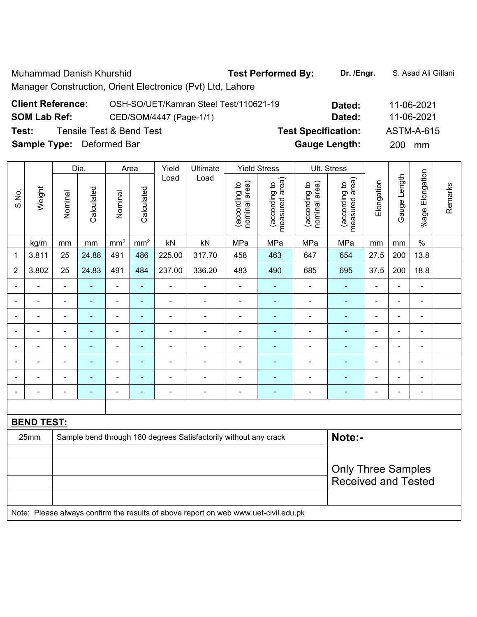Muhammad Danish Khurshid **Test Performed By:** Dr. /Engr. **S. Asad Ali Gillani** Manager Construction, Orient Electronice (Pvt) Ltd, Lahore

| <b>Client Reference:</b>         | OSH-SO/UET/Kamran Steel Test/110621-19 | Dated:                     | 11-06-2021 |
|----------------------------------|----------------------------------------|----------------------------|------------|
| <b>SOM Lab Ref:</b>              | CED/SOM/4447 (Page-1/1)                | Dated:                     | 11-06-2021 |
| Test:                            | Tensile Test & Bend Test               | <b>Test Specification:</b> | ASTM-A-615 |
| <b>Sample Type:</b> Deformed Bar |                                        | <b>Gauge Length:</b>       | 200 mm     |

|                |                   |                                                                            | Dia.           |                 | Area            | Yield          | Ultimate                                                                            |                                | <b>Yield Stress</b>             |                                | Ult. Stress                     |                |                |                          |         |
|----------------|-------------------|----------------------------------------------------------------------------|----------------|-----------------|-----------------|----------------|-------------------------------------------------------------------------------------|--------------------------------|---------------------------------|--------------------------------|---------------------------------|----------------|----------------|--------------------------|---------|
| S.No.          | Weight            | Nominal                                                                    | Calculated     | Nominal         | Calculated      | Load           | Load                                                                                | nominal area)<br>(according to | measured area)<br>(according to | (according to<br>nominal area) | measured area)<br>(according to | Elongation     | Gauge Length   | %age Elongation          | Remarks |
|                | kg/m              | mm                                                                         | mm             | mm <sup>2</sup> | mm <sup>2</sup> | kN             | kN                                                                                  | MPa                            | MPa                             | MPa                            | MPa                             | mm             | mm             | $\%$                     |         |
| $\mathbf 1$    | 3.811             | 25                                                                         | 24.88          | 491             | 486             | 225.00         | 317.70                                                                              | 458                            | 463                             | 647                            | 654                             | 27.5           | 200            | 13.8                     |         |
| $\overline{2}$ | 3.802             | 25                                                                         | 24.83          | 491             | 484             | 237.00         | 336.20                                                                              | 483                            | 490                             | 685                            | 695                             | 37.5           | 200            | 18.8                     |         |
|                |                   | $\blacksquare$                                                             |                | $\blacksquare$  | ä,              | ÷,             | $\blacksquare$                                                                      | $\blacksquare$                 |                                 |                                | $\blacksquare$                  |                | ä,             | $\blacksquare$           |         |
| $\blacksquare$ |                   | $\blacksquare$                                                             | $\blacksquare$ | $\blacksquare$  | ٠               | ÷,             | $\overline{a}$                                                                      | $\blacksquare$                 | $\blacksquare$                  | $\qquad \qquad \blacksquare$   | ٠                               | $\blacksquare$ | $\blacksquare$ | $\blacksquare$           |         |
|                | ÷                 | $\blacksquare$                                                             | $\blacksquare$ | $\blacksquare$  | ÷               | ÷,             | $\blacksquare$                                                                      | ÷,                             | $\blacksquare$                  | ä,                             | $\blacksquare$                  | $\blacksquare$ | ä,             | $\blacksquare$           |         |
|                | ä,                | $\blacksquare$                                                             | ä,             | ÷,              | ÷               | ÷,             | $\blacksquare$                                                                      | ÷                              | $\blacksquare$                  | ÷                              | ÷                               | $\blacksquare$ | ÷,             | $\blacksquare$           |         |
|                |                   | $\blacksquare$                                                             | $\blacksquare$ | $\blacksquare$  | ÷               | ÷,             | $\blacksquare$                                                                      | $\blacksquare$                 | ÷                               | ÷                              | $\blacksquare$                  | Ē,             | $\blacksquare$ | $\blacksquare$           |         |
|                |                   |                                                                            |                |                 |                 | ÷              |                                                                                     | Ē,                             |                                 |                                |                                 |                |                | ٠                        |         |
|                |                   |                                                                            |                | $\blacksquare$  |                 | ۰              |                                                                                     | L,                             | ÷                               |                                |                                 |                |                | $\overline{\phantom{a}}$ |         |
| $\blacksquare$ |                   | $\blacksquare$                                                             | $\blacksquare$ | $\blacksquare$  | $\blacksquare$  | $\blacksquare$ | $\blacksquare$                                                                      | L,                             | $\blacksquare$                  | $\blacksquare$                 | ÷                               | $\blacksquare$ | $\blacksquare$ | $\blacksquare$           |         |
|                |                   |                                                                            |                |                 |                 |                |                                                                                     |                                |                                 |                                |                                 |                |                |                          |         |
|                | <b>BEND TEST:</b> |                                                                            |                |                 |                 |                |                                                                                     |                                |                                 |                                |                                 |                |                |                          |         |
|                | 25mm              | Note:-<br>Sample bend through 180 degrees Satisfactorily without any crack |                |                 |                 |                |                                                                                     |                                |                                 |                                |                                 |                |                |                          |         |
|                |                   |                                                                            |                |                 |                 |                |                                                                                     |                                |                                 |                                |                                 |                |                |                          |         |
|                |                   |                                                                            |                |                 |                 |                |                                                                                     |                                |                                 |                                | <b>Only Three Samples</b>       |                |                |                          |         |
|                |                   |                                                                            |                |                 |                 |                |                                                                                     |                                |                                 |                                | <b>Received and Tested</b>      |                |                |                          |         |
|                |                   |                                                                            |                |                 |                 |                |                                                                                     |                                |                                 |                                |                                 |                |                |                          |         |
|                |                   |                                                                            |                |                 |                 |                | Note: Please always confirm the results of above report on web www.uet-civil.edu.pk |                                |                                 |                                |                                 |                |                |                          |         |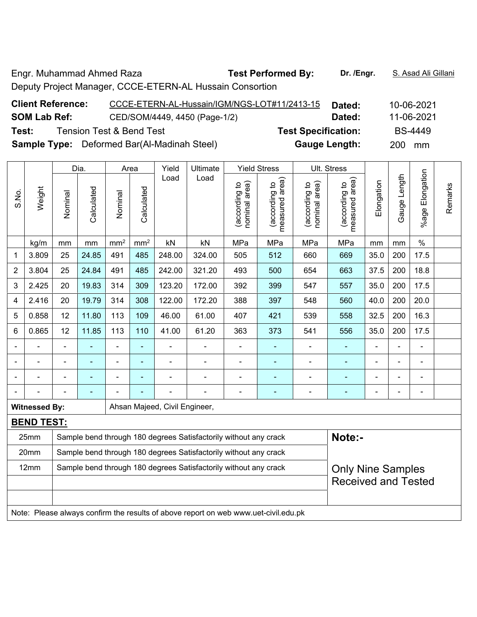Engr. Muhammad Ahmed Raza **Test Performed By: Dr. /Engr.** S. Asad Ali Gillani Deputy Project Manager, CCCE-ETERN-AL Hussain Consortion

| <b>Client Reference:</b> | CCCE-ETERN-AL-Hussain/IGM/NGS-LOT#11/2413-15       | Dated:                     | 10-06-2021 |
|--------------------------|----------------------------------------------------|----------------------------|------------|
| <b>SOM Lab Ref:</b>      | CED/SOM/4449, 4450 (Page-1/2)                      | Dated:                     | 11-06-2021 |
| Test:                    | <b>Tension Test &amp; Bend Test</b>                | <b>Test Specification:</b> | BS-4449    |
|                          | <b>Sample Type:</b> Deformed Bar(Al-Madinah Steel) | <b>Gauge Length:</b>       | 200 mm     |

|                | Dia.<br>Area         |                                                                  |                                                                                                   |                 | Yield           | Ultimate                      |                                                                                     | <b>Yield Stress</b>                             |                                 | Ult. Stress                    |                                 |            |              |                         |         |
|----------------|----------------------|------------------------------------------------------------------|---------------------------------------------------------------------------------------------------|-----------------|-----------------|-------------------------------|-------------------------------------------------------------------------------------|-------------------------------------------------|---------------------------------|--------------------------------|---------------------------------|------------|--------------|-------------------------|---------|
| S.No.          | Weight               | Nominal                                                          | Calculated                                                                                        | Nominal         | Calculated      | Load                          | Load                                                                                | nominal area)<br>according to                   | measured area)<br>(according to | (according to<br>nominal area) | measured area)<br>(according to | Elongation | Gauge Length | Elongation<br>$%$ age I | Remarks |
|                | kg/m                 | mm                                                               | mm                                                                                                | mm <sup>2</sup> | mm <sup>2</sup> | kN                            | kN                                                                                  | MPa                                             | MPa                             | MPa                            | MPa                             | mm         | mm           | $\%$                    |         |
| 1              | 3.809                | 25                                                               | 24.85                                                                                             | 491             | 485             | 248.00                        | 324.00                                                                              | 505                                             | 512                             | 660                            | 669                             | 35.0       | 200          | 17.5                    |         |
| $\overline{2}$ | 3.804                | 25                                                               | 24.84                                                                                             | 491             | 485             | 242.00                        | 321.20                                                                              | 493                                             | 500                             | 654                            | 663                             | 37.5       | 200          | 18.8                    |         |
| 3              | 2.425                | 20                                                               | 19.83                                                                                             | 314             | 309             | 123.20                        | 172.00                                                                              | 392                                             | 399                             | 547                            | 557                             | 35.0       | 200          | 17.5                    |         |
| 4              | 2.416                | 20                                                               | 19.79                                                                                             | 314             | 308             | 122.00                        | 172.20                                                                              | 388                                             | 397                             | 548                            | 560                             | 40.0       | 200          | 20.0                    |         |
| 5              | 0.858                | 12                                                               | 11.80                                                                                             | 113             | 109             | 46.00                         | 61.00                                                                               | 407                                             | 421                             | 539                            | 558                             | 32.5       | 200          | 16.3                    |         |
| 6              | 0.865                | 12                                                               | 11.85                                                                                             | 113             | 110             | 41.00                         | 61.20                                                                               | 363<br>373<br>541<br>556<br>35.0<br>200<br>17.5 |                                 |                                |                                 |            |              |                         |         |
|                |                      | $\blacksquare$                                                   | ä,<br>$\blacksquare$<br>ä,<br>ä,<br>$\blacksquare$<br>÷<br>÷,<br>ä,<br>ä,<br>$\blacksquare$<br>Ē, |                 |                 |                               |                                                                                     |                                                 |                                 |                                |                                 |            |              |                         |         |
|                |                      | ä,                                                               | -                                                                                                 | $\blacksquare$  | ۰               | ä,                            |                                                                                     |                                                 | ۰                               |                                | $\blacksquare$                  |            | ä,           | $\blacksquare$          |         |
|                |                      |                                                                  |                                                                                                   | ۰               |                 |                               |                                                                                     |                                                 | $\blacksquare$                  |                                | $\blacksquare$                  |            |              | $\blacksquare$          |         |
|                |                      |                                                                  |                                                                                                   |                 |                 |                               |                                                                                     |                                                 |                                 |                                |                                 |            |              | $\blacksquare$          |         |
|                | <b>Witnessed By:</b> |                                                                  |                                                                                                   |                 |                 | Ahsan Majeed, Civil Engineer, |                                                                                     |                                                 |                                 |                                |                                 |            |              |                         |         |
|                | <b>BEND TEST:</b>    |                                                                  |                                                                                                   |                 |                 |                               |                                                                                     |                                                 |                                 |                                |                                 |            |              |                         |         |
|                | 25mm                 |                                                                  |                                                                                                   |                 |                 |                               | Sample bend through 180 degrees Satisfactorily without any crack                    |                                                 |                                 |                                | Note:-                          |            |              |                         |         |
|                | 20mm                 | Sample bend through 180 degrees Satisfactorily without any crack |                                                                                                   |                 |                 |                               |                                                                                     |                                                 |                                 |                                |                                 |            |              |                         |         |
|                | 12mm                 |                                                                  |                                                                                                   |                 |                 |                               | Sample bend through 180 degrees Satisfactorily without any crack                    |                                                 |                                 |                                | <b>Only Nine Samples</b>        |            |              |                         |         |
|                |                      |                                                                  |                                                                                                   |                 |                 |                               |                                                                                     |                                                 |                                 |                                | <b>Received and Tested</b>      |            |              |                         |         |
|                |                      |                                                                  |                                                                                                   |                 |                 |                               |                                                                                     |                                                 |                                 |                                |                                 |            |              |                         |         |
|                |                      |                                                                  |                                                                                                   |                 |                 |                               | Note: Please always confirm the results of above report on web www.uet-civil.edu.pk |                                                 |                                 |                                |                                 |            |              |                         |         |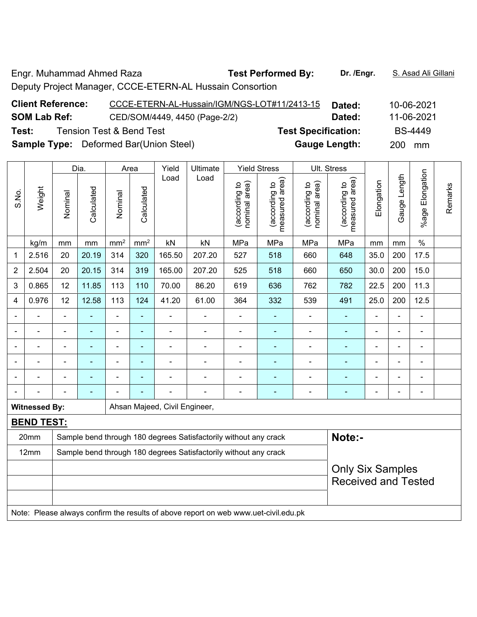Engr. Muhammad Ahmed Raza **Test Performed By: Dr. /Engr.** S. Asad Ali Gillani Deputy Project Manager, CCCE-ETERN-AL Hussain Consortion

| <b>Client Reference:</b> | CCCE-ETERN-AL-Hussain/IGM/NGS-LOT#11/2413-15  | Dated:                     | 10-06-2021     |
|--------------------------|-----------------------------------------------|----------------------------|----------------|
| <b>SOM Lab Ref:</b>      | CED/SOM/4449, 4450 (Page-2/2)                 | Dated:                     | 11-06-2021     |
| Test:                    | <b>Tension Test &amp; Bend Test</b>           | <b>Test Specification:</b> | <b>BS-4449</b> |
|                          | <b>Sample Type:</b> Deformed Bar(Union Steel) | <b>Gauge Length:</b>       | 200 mm         |

|                |                      | Dia.<br>Yield<br>Area<br>Ultimate                                          |                                                                                                                                                                     |                              |                 | <b>Yield Stress</b>           | Ult. Stress                                                                                                                            |                               |                                 |                                |                                 |                          |                |                 |         |
|----------------|----------------------|----------------------------------------------------------------------------|---------------------------------------------------------------------------------------------------------------------------------------------------------------------|------------------------------|-----------------|-------------------------------|----------------------------------------------------------------------------------------------------------------------------------------|-------------------------------|---------------------------------|--------------------------------|---------------------------------|--------------------------|----------------|-----------------|---------|
| S.No.          | Weight               | Nominal                                                                    | Calculated                                                                                                                                                          | Nominal                      | Calculated      | Load                          | Load                                                                                                                                   | nominal area)<br>according to | measured area)<br>(according to | (according to<br>nominal area) | measured area)<br>(according to | Elongation               | Gauge Length   | %age Elongation | Remarks |
|                | kg/m                 | mm                                                                         | mm                                                                                                                                                                  | mm <sup>2</sup>              | mm <sup>2</sup> | kN                            | kN                                                                                                                                     | MPa                           | MPa                             | MPa                            | MPa                             | mm                       | mm             | $\%$            |         |
| 1              | 2.516                | 20                                                                         | 20.19                                                                                                                                                               | 314                          | 320             | 165.50                        | 207.20                                                                                                                                 | 527                           | 518                             | 660                            | 648                             | 35.0                     | 200            | 17.5            |         |
| $\overline{2}$ | 2.504                | 20                                                                         | 20.15                                                                                                                                                               | 314                          | 319             | 165.00                        | 207.20                                                                                                                                 | 525                           | 518                             | 660                            | 650                             | 30.0                     | 200            | 15.0            |         |
| 3              | 0.865                | 12                                                                         | 11.85                                                                                                                                                               | 113                          | 110             | 70.00                         | 86.20                                                                                                                                  | 619                           | 636                             | 762                            | 782                             | 22.5                     | 200            | 11.3            |         |
| 4              | 0.976                | 12                                                                         | 12.58                                                                                                                                                               | 113                          | 124             | 41.20                         | 61.00                                                                                                                                  | 364                           | 332                             | 539                            | 491                             | 25.0                     | 200            | 12.5            |         |
|                |                      | Ē,                                                                         |                                                                                                                                                                     | $\blacksquare$               | ÷               | $\blacksquare$                | ÷                                                                                                                                      | $\overline{\phantom{a}}$      | ٠                               | $\blacksquare$                 | $\blacksquare$                  | $\overline{\phantom{a}}$ | ä,             | $\blacksquare$  |         |
|                |                      |                                                                            | $\overline{\phantom{0}}$                                                                                                                                            | $\qquad \qquad \blacksquare$ | ۰               | ÷                             | $\blacksquare$<br>$\overline{\phantom{a}}$<br>$\overline{\phantom{0}}$<br>$\blacksquare$<br>٠<br>$\blacksquare$<br>$\blacksquare$<br>÷ |                               |                                 |                                |                                 |                          |                |                 |         |
|                |                      | $\blacksquare$                                                             | ä,<br>ä,<br>$\blacksquare$<br>$\blacksquare$<br>$\blacksquare$<br>$\blacksquare$<br>$\blacksquare$<br>$\blacksquare$<br>÷<br>$\blacksquare$<br>÷,<br>$\blacksquare$ |                              |                 |                               |                                                                                                                                        |                               |                                 |                                |                                 |                          |                |                 |         |
|                |                      | L,                                                                         | $\blacksquare$                                                                                                                                                      | $\blacksquare$               | $\blacksquare$  | ÷                             | i.                                                                                                                                     | $\blacksquare$                |                                 |                                | Ē,                              |                          | $\blacksquare$ | $\blacksquare$  |         |
|                |                      |                                                                            |                                                                                                                                                                     |                              |                 |                               |                                                                                                                                        |                               |                                 |                                |                                 |                          |                | $\blacksquare$  |         |
|                |                      |                                                                            | ۰                                                                                                                                                                   |                              |                 | L,                            |                                                                                                                                        | ٠                             | ÷                               |                                | Ē.                              | $\blacksquare$           | $\blacksquare$ | $\blacksquare$  |         |
|                | <b>Witnessed By:</b> |                                                                            |                                                                                                                                                                     |                              |                 | Ahsan Majeed, Civil Engineer, |                                                                                                                                        |                               |                                 |                                |                                 |                          |                |                 |         |
|                | <b>BEND TEST:</b>    |                                                                            |                                                                                                                                                                     |                              |                 |                               |                                                                                                                                        |                               |                                 |                                |                                 |                          |                |                 |         |
|                | 20mm                 | Note:-<br>Sample bend through 180 degrees Satisfactorily without any crack |                                                                                                                                                                     |                              |                 |                               |                                                                                                                                        |                               |                                 |                                |                                 |                          |                |                 |         |
|                | 12mm                 | Sample bend through 180 degrees Satisfactorily without any crack           |                                                                                                                                                                     |                              |                 |                               |                                                                                                                                        |                               |                                 |                                |                                 |                          |                |                 |         |
|                |                      |                                                                            |                                                                                                                                                                     |                              |                 |                               |                                                                                                                                        |                               |                                 |                                | <b>Only Six Samples</b>         |                          |                |                 |         |
|                |                      |                                                                            |                                                                                                                                                                     |                              |                 |                               |                                                                                                                                        |                               |                                 |                                | <b>Received and Tested</b>      |                          |                |                 |         |
|                |                      |                                                                            |                                                                                                                                                                     |                              |                 |                               |                                                                                                                                        |                               |                                 |                                |                                 |                          |                |                 |         |
|                |                      |                                                                            |                                                                                                                                                                     |                              |                 |                               | Note: Please always confirm the results of above report on web www.uet-civil.edu.pk                                                    |                               |                                 |                                |                                 |                          |                |                 |         |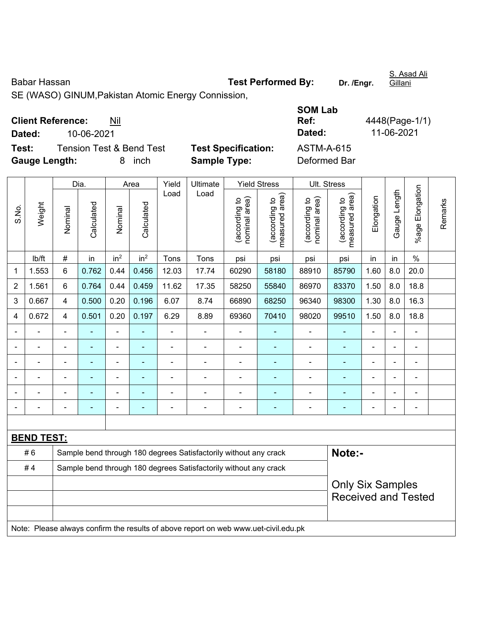Babar Hassan **Test Performed By:** Dr. /Engr. SE (WASO) GINUM,Pakistan Atomic Energy Connission, **Client Reference:** Nil **SOM Lab** 

**Dated:** 10-06-2021 **Dated:** 11-06-2021

**Test:** Tension Test & Bend Test **Test Specification:** ASTM-A-615 **Gauge Length:** 8 inch **Sample Type:** Deformed Bar

|                |                   |                                                                  | Dia.       |                 | Area            | Yield          | Ultimate                                                                            |                                | <b>Yield Stress</b>             |                                | Ult. Stress                     |                |                |                      |         |
|----------------|-------------------|------------------------------------------------------------------|------------|-----------------|-----------------|----------------|-------------------------------------------------------------------------------------|--------------------------------|---------------------------------|--------------------------------|---------------------------------|----------------|----------------|----------------------|---------|
| S.No.          | Weight            | Nominal                                                          | Calculated | Nominal         | Calculated      | Load           | Load                                                                                | nominal area)<br>(according to | (according to<br>measured area) | nominal area)<br>(according to | (according to<br>measured area) | Elongation     | Gauge Length   | Elongation<br>%age l | Remarks |
|                | lb/ft             | $\#$                                                             | in         | in <sup>2</sup> | in <sup>2</sup> | Tons           | Tons                                                                                | psi                            | psi                             | psi                            | psi                             | in             | in             | $\frac{0}{0}$        |         |
| $\mathbf{1}$   | 1.553             | $6\phantom{1}$                                                   | 0.762      | 0.44            | 0.456           | 12.03          | 17.74                                                                               | 60290                          | 58180                           | 88910                          | 85790                           | 1.60           | 8.0            | 20.0                 |         |
| $\overline{2}$ | 1.561             | $6\phantom{a}$                                                   | 0.764      | 0.44            | 0.459           | 11.62          | 17.35                                                                               | 58250                          | 55840                           | 86970                          | 83370                           | 1.50           | 8.0            | 18.8                 |         |
| 3              | 0.667             | $\overline{4}$                                                   | 0.500      | 0.20            | 0.196           | 6.07           | 8.74                                                                                | 66890                          | 68250                           | 96340                          | 98300                           | 1.30           | 8.0            | 16.3                 |         |
| 4              | 0.672             | $\overline{4}$                                                   | 0.501      | 0.20            | 0.197           | 6.29           | 8.89                                                                                | 69360                          | 70410                           | 98020                          | 99510                           | 1.50           | 8.0            | 18.8                 |         |
|                |                   | ä,                                                               | ÷,         | ä,              | $\blacksquare$  |                | $\blacksquare$                                                                      | $\frac{1}{2}$                  | ۰                               | $\blacksquare$                 | $\blacksquare$                  | ä,             | $\blacksquare$ | $\blacksquare$       |         |
|                |                   | $\blacksquare$                                                   | ÷,         | ÷,              | $\blacksquare$  | $\blacksquare$ | ÷,                                                                                  | $\blacksquare$                 | ÷                               | ÷,                             | $\blacksquare$                  | ä,             |                | $\blacksquare$       |         |
|                |                   | ä,                                                               | ä,         | $\blacksquare$  |                 | L,             | ä,                                                                                  | ä,                             |                                 | ÷,                             | $\blacksquare$                  | ä,             |                | ÷                    |         |
|                |                   | $\blacksquare$                                                   |            | $\blacksquare$  |                 | $\blacksquare$ | $\blacksquare$                                                                      | ÷,                             |                                 |                                |                                 |                |                | -                    |         |
|                |                   |                                                                  | -          | $\blacksquare$  |                 | $\overline{a}$ | ÷                                                                                   | $\blacksquare$                 |                                 | ٠                              | Ē.                              |                |                | -                    |         |
|                |                   |                                                                  |            | $\blacksquare$  | ٠               |                | $\blacksquare$                                                                      | $\blacksquare$                 | ۰                               | $\overline{\phantom{a}}$       | ä,                              | $\blacksquare$ |                | $\blacksquare$       |         |
|                |                   |                                                                  |            |                 |                 |                |                                                                                     |                                |                                 |                                |                                 |                |                |                      |         |
|                | <b>BEND TEST:</b> |                                                                  |            |                 |                 |                |                                                                                     |                                |                                 |                                |                                 |                |                |                      |         |
|                | #6                |                                                                  |            |                 |                 |                | Sample bend through 180 degrees Satisfactorily without any crack                    |                                |                                 |                                | Note:-                          |                |                |                      |         |
|                | #4                | Sample bend through 180 degrees Satisfactorily without any crack |            |                 |                 |                |                                                                                     |                                |                                 |                                |                                 |                |                |                      |         |
|                |                   |                                                                  |            |                 |                 |                |                                                                                     |                                |                                 |                                | <b>Only Six Samples</b>         |                |                |                      |         |
|                |                   |                                                                  |            |                 |                 |                |                                                                                     |                                |                                 |                                | <b>Received and Tested</b>      |                |                |                      |         |
|                |                   |                                                                  |            |                 |                 |                |                                                                                     |                                |                                 |                                |                                 |                |                |                      |         |
|                |                   |                                                                  |            |                 |                 |                | Note: Please always confirm the results of above report on web www.uet-civil.edu.pk |                                |                                 |                                |                                 |                |                |                      |         |

**Ref:** 4448(Page-1/1)

S. Asad Ali Gillani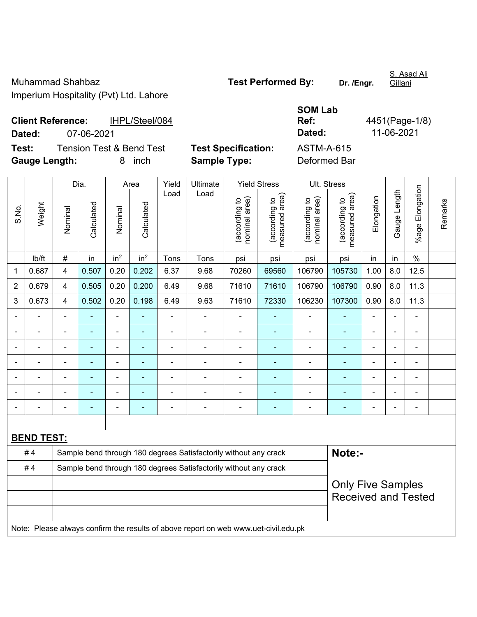Gillani

**Client Reference:** IHPL/Steel/084

**SOM Lab Ref:** 4451(Page-1/8)

**Dated:** 07-06-2021 **Dated:** 11-06-2021 **Test:** Tension Test & Bend Test **Test Specification:** ASTM-A-615

**Gauge Length:** 8 inch **Sample Type:** Deformed Bar

|                |                   |                                                                  | Dia.       |                                                                                                                    | Area            | Yield          | Ultimate                                                                            |                                | <b>Yield Stress</b>             | Ult. Stress                    |                                 |                |                |                 |         |
|----------------|-------------------|------------------------------------------------------------------|------------|--------------------------------------------------------------------------------------------------------------------|-----------------|----------------|-------------------------------------------------------------------------------------|--------------------------------|---------------------------------|--------------------------------|---------------------------------|----------------|----------------|-----------------|---------|
| S.No.          | Weight            | Nominal                                                          | Calculated | Nominal                                                                                                            | Calculated      | Load           | Load                                                                                | nominal area)<br>(according to | measured area)<br>(according to | nominal area)<br>(according to | measured area)<br>(according to | Elongation     | Gauge Length   | %age Elongation | Remarks |
|                | lb/ft             | $\#$                                                             | in         | in <sup>2</sup>                                                                                                    | in <sup>2</sup> | Tons           | Tons                                                                                | psi                            | psi                             | psi                            | psi                             | in             | in             | $\%$            |         |
| 1              | 0.687             | 4                                                                | 0.507      | 0.20                                                                                                               | 0.202           | 6.37           | 9.68                                                                                | 70260                          | 69560                           | 106790                         | 105730                          | 1.00           | 8.0            | 12.5            |         |
| $\overline{2}$ | 0.679             | 4                                                                | 0.505      | 0.20                                                                                                               | 0.200           | 6.49           | 9.68                                                                                | 71610                          | 71610                           | 106790                         | 106790                          | 0.90           | 8.0            | 11.3            |         |
| 3              | 0.673             | $\overline{4}$                                                   | 0.502      | 0.20                                                                                                               | 0.198           | 6.49           | 9.63                                                                                | 71610                          | 72330                           | 106230                         | 107300                          | 0.90           | 8.0            | 11.3            |         |
|                |                   | $\blacksquare$                                                   | ä,         | ä,                                                                                                                 |                 |                |                                                                                     |                                |                                 | $\blacksquare$                 | $\blacksquare$                  |                |                | $\blacksquare$  |         |
|                |                   |                                                                  |            |                                                                                                                    |                 |                |                                                                                     |                                |                                 |                                |                                 |                |                |                 |         |
|                |                   | $\blacksquare$                                                   | ۳          | $\blacksquare$                                                                                                     |                 |                | $\blacksquare$                                                                      | $\blacksquare$                 |                                 | ٠                              |                                 |                |                |                 |         |
| $\blacksquare$ |                   | $\blacksquare$                                                   | -          | $\blacksquare$<br>$\blacksquare$<br>$\blacksquare$<br>$\blacksquare$<br>$\blacksquare$<br>$\overline{\phantom{a}}$ |                 |                |                                                                                     |                                |                                 |                                |                                 | $\blacksquare$ | $\blacksquare$ | $\blacksquare$  |         |
|                |                   | $\blacksquare$                                                   | ÷,         | $\blacksquare$                                                                                                     |                 | $\blacksquare$ | L.                                                                                  | $\blacksquare$                 |                                 | $\blacksquare$                 |                                 | $\blacksquare$ |                | $\blacksquare$  |         |
|                |                   | $\blacksquare$                                                   | -          | $\blacksquare$                                                                                                     | ٠               |                | $\blacksquare$                                                                      | $\blacksquare$                 | $\blacksquare$                  | $\blacksquare$                 | $\blacksquare$                  | $\blacksquare$ |                | $\blacksquare$  |         |
|                |                   |                                                                  |            |                                                                                                                    |                 |                |                                                                                     |                                | $\blacksquare$                  |                                |                                 |                |                | $\blacksquare$  |         |
|                |                   |                                                                  |            |                                                                                                                    |                 |                |                                                                                     |                                |                                 |                                |                                 |                |                |                 |         |
|                | <b>BEND TEST:</b> |                                                                  |            |                                                                                                                    |                 |                |                                                                                     |                                |                                 |                                |                                 |                |                |                 |         |
|                | #4                |                                                                  |            |                                                                                                                    |                 |                | Sample bend through 180 degrees Satisfactorily without any crack                    |                                |                                 |                                | Note:-                          |                |                |                 |         |
|                | #4                | Sample bend through 180 degrees Satisfactorily without any crack |            |                                                                                                                    |                 |                |                                                                                     |                                |                                 |                                |                                 |                |                |                 |         |
|                |                   | <b>Only Five Samples</b>                                         |            |                                                                                                                    |                 |                |                                                                                     |                                |                                 |                                |                                 |                |                |                 |         |
|                |                   |                                                                  |            |                                                                                                                    |                 |                |                                                                                     |                                |                                 |                                | <b>Received and Tested</b>      |                |                |                 |         |
|                |                   |                                                                  |            |                                                                                                                    |                 |                |                                                                                     |                                |                                 |                                |                                 |                |                |                 |         |
|                |                   |                                                                  |            |                                                                                                                    |                 |                | Note: Please always confirm the results of above report on web www.uet-civil.edu.pk |                                |                                 |                                |                                 |                |                |                 |         |

S. Asad Ali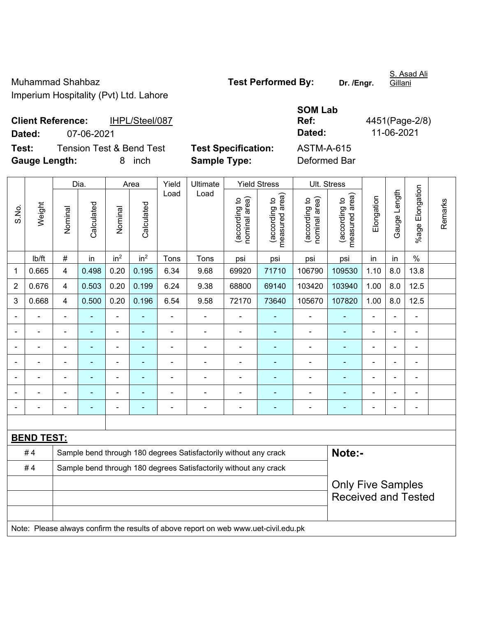S. Asad Ali

## **SOM Lab Ref:** 4451(Page-2/8)

**Client Reference:** IHPL/Steel/087 **Dated:** 07-06-2021 **Dated:** 11-06-2021 **Test:** Tension Test & Bend Test **Test Specification:** ASTM-A-615

**Gauge Length:** 8 inch **Sample Type:** Deformed Bar

|       |                   |                                                                  | Dia.           |                 | Area                                                                                                                                                   | Yield | Ultimate                                                                            |                                | <b>Yield Stress</b>             | Ult. Stress                    |                                 |                |                |                 |         |
|-------|-------------------|------------------------------------------------------------------|----------------|-----------------|--------------------------------------------------------------------------------------------------------------------------------------------------------|-------|-------------------------------------------------------------------------------------|--------------------------------|---------------------------------|--------------------------------|---------------------------------|----------------|----------------|-----------------|---------|
| S.No. | Weight            | Nominal                                                          | Calculated     | Nominal         | Calculated                                                                                                                                             | Load  | Load                                                                                | nominal area)<br>(according to | measured area)<br>(according to | nominal area)<br>(according to | (according to<br>measured area) | Elongation     | Gauge Length   | %age Elongation | Remarks |
|       | lb/ft             | $\#$                                                             | in             | in <sup>2</sup> | in <sup>2</sup>                                                                                                                                        | Tons  | Tons                                                                                | psi                            | psi                             | psi                            | psi                             | in             | in             | $\%$            |         |
| 1     | 0.665             | 4                                                                | 0.498          | 0.20            | 0.195                                                                                                                                                  | 6.34  | 9.68                                                                                | 69920                          | 71710                           | 106790                         | 109530                          | 1.10           | 8.0            | 13.8            |         |
| 2     | 0.676             | 4                                                                | 0.503          | 0.20            | 0.199                                                                                                                                                  | 6.24  | 9.38                                                                                | 68800                          | 69140                           | 103420                         | 103940                          | 1.00           | 8.0            | 12.5            |         |
| 3     | 0.668             | $\overline{4}$                                                   | 0.500          | 0.20            | 0.196                                                                                                                                                  | 6.54  | 9.58                                                                                | 72170                          | 73640                           | 105670                         | 107820                          | 1.00           | 8.0            | 12.5            |         |
|       |                   | $\blacksquare$                                                   |                | $\blacksquare$  |                                                                                                                                                        |       | ÷                                                                                   |                                |                                 | ä,                             |                                 | ä,             |                | ä,              |         |
|       |                   |                                                                  |                | ÷               |                                                                                                                                                        |       | $\blacksquare$                                                                      | $\blacksquare$                 |                                 | ٠                              |                                 |                |                | $\blacksquare$  |         |
|       |                   |                                                                  |                | $\blacksquare$  |                                                                                                                                                        | ä,    | $\blacksquare$                                                                      | $\blacksquare$                 |                                 | $\blacksquare$                 | ۰                               | $\blacksquare$ | $\blacksquare$ | $\blacksquare$  |         |
|       |                   | $\blacksquare$                                                   | $\blacksquare$ | $\blacksquare$  | ä,<br>÷<br>$\overline{\phantom{a}}$<br>$\overline{\phantom{a}}$<br>$\overline{\phantom{a}}$<br>$\overline{a}$<br>۰<br>$\blacksquare$<br>$\blacksquare$ |       |                                                                                     |                                |                                 |                                |                                 |                |                | ÷               |         |
|       |                   | $\blacksquare$                                                   | ä,             | $\blacksquare$  | $\blacksquare$                                                                                                                                         | ÷,    | ÷,                                                                                  | $\blacksquare$                 | $\blacksquare$                  | $\blacksquare$                 | ÷                               | ä,             |                | ÷,              |         |
|       |                   |                                                                  |                |                 |                                                                                                                                                        |       |                                                                                     |                                |                                 |                                |                                 |                |                | $\blacksquare$  |         |
|       |                   |                                                                  |                |                 |                                                                                                                                                        |       | $\blacksquare$                                                                      | $\blacksquare$                 |                                 |                                |                                 |                |                | $\blacksquare$  |         |
|       |                   |                                                                  |                |                 |                                                                                                                                                        |       |                                                                                     |                                |                                 |                                |                                 |                |                |                 |         |
|       | <b>BEND TEST:</b> |                                                                  |                |                 |                                                                                                                                                        |       |                                                                                     |                                |                                 |                                |                                 |                |                |                 |         |
|       | #4                |                                                                  |                |                 |                                                                                                                                                        |       | Sample bend through 180 degrees Satisfactorily without any crack                    |                                |                                 |                                | Note:-                          |                |                |                 |         |
|       | #4                | Sample bend through 180 degrees Satisfactorily without any crack |                |                 |                                                                                                                                                        |       |                                                                                     |                                |                                 |                                |                                 |                |                |                 |         |
|       |                   |                                                                  |                |                 |                                                                                                                                                        |       |                                                                                     |                                |                                 |                                | <b>Only Five Samples</b>        |                |                |                 |         |
|       |                   |                                                                  |                |                 |                                                                                                                                                        |       |                                                                                     |                                |                                 |                                | <b>Received and Tested</b>      |                |                |                 |         |
|       |                   |                                                                  |                |                 |                                                                                                                                                        |       |                                                                                     |                                |                                 |                                |                                 |                |                |                 |         |
|       |                   |                                                                  |                |                 |                                                                                                                                                        |       | Note: Please always confirm the results of above report on web www.uet-civil.edu.pk |                                |                                 |                                |                                 |                |                |                 |         |

Gillani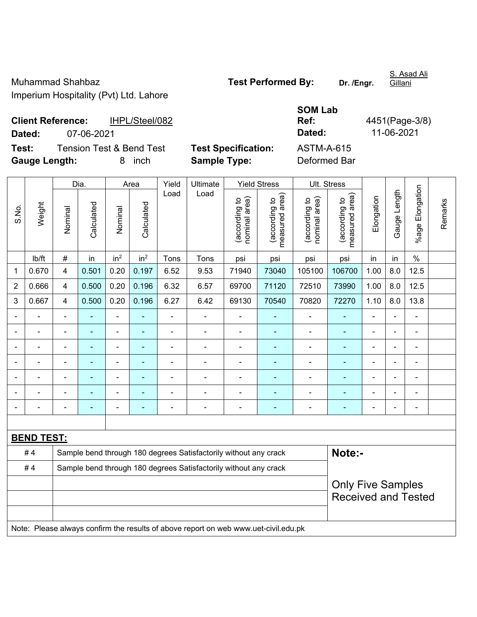S. Asad Ali

**Client Reference:** IHPL/Steel/082

**SOM Lab Ref:** 4451(Page-3/8) **Dated:** 07-06-2021 **Dated:** 11-06-2021

**Test:** Tension Test & Bend Test **Test Specification:** ASTM-A-615 **Gauge Length:** 8 inch **Sample Type:** Deformed Bar

|                |                   | Dia.                                                             |            |                                                                                                                                 | Area            | Yield                    | Ultimate                                                                            |                                | <b>Yield Stress</b>             | Ult. Stress                    |                                             |                |              |                              |         |
|----------------|-------------------|------------------------------------------------------------------|------------|---------------------------------------------------------------------------------------------------------------------------------|-----------------|--------------------------|-------------------------------------------------------------------------------------|--------------------------------|---------------------------------|--------------------------------|---------------------------------------------|----------------|--------------|------------------------------|---------|
| S.No.          | Weight            | Nominal                                                          | Calculated | Nominal                                                                                                                         | Calculated      | Load                     | Load                                                                                | nominal area)<br>(according to | measured area)<br>(according to | nominal area)<br>(according to | (according to<br>measured area)<br>measured | Elongation     | Gauge Length | Elongation<br>$%$ age        | Remarks |
|                | lb/ft             | $\#$                                                             | in         | in <sup>2</sup>                                                                                                                 | in <sup>2</sup> | Tons                     | Tons                                                                                | psi                            | psi                             | psi                            | psi                                         | in             | in           | $\%$                         |         |
| 1              | 0.670             | $\overline{\mathcal{A}}$                                         | 0.501      | 0.20                                                                                                                            | 0.197           | 6.52                     | 9.53                                                                                | 71940                          | 73040                           | 105100                         | 106700                                      | 1.00           | 8.0          | 12.5                         |         |
| $\overline{2}$ | 0.666             | $\overline{4}$                                                   | 0.500      | 0.20                                                                                                                            | 0.196           | 6.32                     | 6.57                                                                                | 69700                          | 71120                           | 72510                          | 73990                                       | 1.00           | 8.0          | 12.5                         |         |
| 3              | 0.667             | $\overline{\mathbf{4}}$                                          | 0.500      | 0.20                                                                                                                            | 0.196           | 6.27                     | 6.42                                                                                | 69130                          | 70540                           | 70820                          | 72270                                       | 1.10           | 8.0          | 13.8                         |         |
|                |                   | $\blacksquare$                                                   | ÷,         | $\blacksquare$                                                                                                                  | ÷               | $\overline{\phantom{a}}$ | $\overline{\phantom{0}}$                                                            | $\blacksquare$                 | $\overline{a}$                  | ÷                              | $\blacksquare$                              | $\blacksquare$ |              | $\qquad \qquad \blacksquare$ |         |
|                |                   |                                                                  |            |                                                                                                                                 |                 |                          |                                                                                     |                                |                                 |                                |                                             |                |              |                              |         |
|                |                   | Ē,                                                               |            | $\blacksquare$                                                                                                                  |                 | $\blacksquare$           | $\frac{1}{2}$                                                                       | $\blacksquare$                 |                                 | ÷                              | ÷                                           | $\blacksquare$ |              | $\blacksquare$               |         |
|                |                   | $\blacksquare$                                                   | ÷,         | $\blacksquare$<br>$\blacksquare$<br>$\blacksquare$<br>$\blacksquare$<br>$\blacksquare$<br>÷<br>$\blacksquare$<br>$\blacksquare$ |                 |                          |                                                                                     |                                |                                 |                                |                                             | $\blacksquare$ |              | $\blacksquare$               |         |
|                |                   | $\blacksquare$                                                   | ÷,         | ۰                                                                                                                               |                 | $\blacksquare$           | $\blacksquare$                                                                      | $\blacksquare$                 | $\blacksquare$                  | $\blacksquare$                 | $\blacksquare$                              | $\blacksquare$ |              | $\qquad \qquad \blacksquare$ |         |
|                |                   | $\blacksquare$                                                   | ÷,         | $\blacksquare$                                                                                                                  | $\overline{a}$  | $\blacksquare$           | $\overline{\phantom{0}}$                                                            | $\overline{\phantom{a}}$       | $\blacksquare$                  | $\blacksquare$                 | $\blacksquare$                              | $\blacksquare$ |              | $\blacksquare$               |         |
|                |                   | ٠                                                                |            |                                                                                                                                 |                 |                          | $\blacksquare$                                                                      |                                | ٠                               |                                | $\blacksquare$                              | $\blacksquare$ |              | $\blacksquare$               |         |
|                |                   |                                                                  |            |                                                                                                                                 |                 |                          |                                                                                     |                                |                                 |                                |                                             |                |              |                              |         |
|                | <b>BEND TEST:</b> |                                                                  |            |                                                                                                                                 |                 |                          |                                                                                     |                                |                                 |                                |                                             |                |              |                              |         |
|                | #4                |                                                                  |            |                                                                                                                                 |                 |                          | Sample bend through 180 degrees Satisfactorily without any crack                    |                                |                                 |                                | Note:-                                      |                |              |                              |         |
|                | #4                | Sample bend through 180 degrees Satisfactorily without any crack |            |                                                                                                                                 |                 |                          |                                                                                     |                                |                                 |                                |                                             |                |              |                              |         |
|                |                   |                                                                  |            |                                                                                                                                 |                 |                          |                                                                                     |                                |                                 |                                | <b>Only Five Samples</b>                    |                |              |                              |         |
|                |                   |                                                                  |            |                                                                                                                                 |                 |                          |                                                                                     |                                |                                 |                                | <b>Received and Tested</b>                  |                |              |                              |         |
|                |                   |                                                                  |            |                                                                                                                                 |                 |                          |                                                                                     |                                |                                 |                                |                                             |                |              |                              |         |
|                |                   |                                                                  |            |                                                                                                                                 |                 |                          | Note: Please always confirm the results of above report on web www.uet-civil.edu.pk |                                |                                 |                                |                                             |                |              |                              |         |

Gillani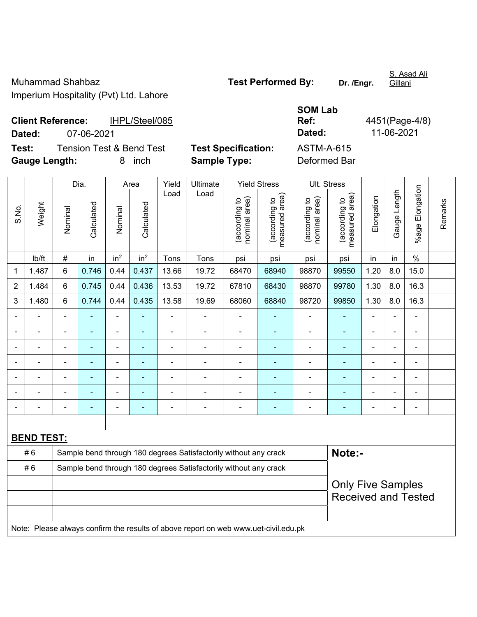S. Asad Ali Gillani

**Client Reference:** IHPL/Steel/085 **Dated:** 07-06-2021 **Dated:** 11-06-2021 **Test:** Tension Test & Bend Test **Test Specification:** 

| <b>SOM Lab</b>      |                |
|---------------------|----------------|
| Ref:                | 4451(Page-4/8) |
| Dated:              | 11-06-2021     |
| ASTM-A-615          |                |
| n - f -  - - -! n - |                |

**Gauge Length:** 8 inch **Sample Type:** Deformed Bar

|                |                   |                                                                  | Dia.       |                 | Area            | Yield          | Ultimate                                                                            |                                | <b>Yield Stress</b>             | Ult. Stress                    |                                                        |                |              |                       |         |
|----------------|-------------------|------------------------------------------------------------------|------------|-----------------|-----------------|----------------|-------------------------------------------------------------------------------------|--------------------------------|---------------------------------|--------------------------------|--------------------------------------------------------|----------------|--------------|-----------------------|---------|
| S.No.          | Weight            | Nominal                                                          | Calculated | Nominal         | Calculated      | Load           | Load                                                                                | (according to<br>nominal area) | measured area)<br>(according to | nominal area)<br>(according to | (according to<br>neasured area)<br>measured            | Elongation     | Gauge Length | Elongation<br>$%$ age | Remarks |
|                | lb/ft             | #                                                                | in         | in <sup>2</sup> | in <sup>2</sup> | Tons           | Tons                                                                                | psi                            | psi                             | psi                            | psi                                                    | in             | in           | $\%$                  |         |
| 1              | 1.487             | 6                                                                | 0.746      | 0.44            | 0.437           | 13.66          | 19.72                                                                               | 68470                          | 68940                           | 98870                          | 99550                                                  | 1.20           | 8.0          | 15.0                  |         |
| $\overline{2}$ | 1.484             | 6                                                                | 0.745      | 0.44            | 0.436           | 13.53          | 19.72                                                                               | 67810                          | 68430                           | 98870                          | 99780                                                  | 1.30           | 8.0          | 16.3                  |         |
| 3              | 1.480             | 6                                                                | 0.744      | 0.44            | 0.435           | 13.58          | 19.69                                                                               | 68060                          | 68840                           | 98720                          | 99850                                                  | 1.30           | 8.0          | 16.3                  |         |
|                |                   | $\overline{\phantom{0}}$                                         |            | $\blacksquare$  |                 |                |                                                                                     |                                |                                 |                                |                                                        |                |              |                       |         |
|                |                   | $\blacksquare$                                                   |            | $\blacksquare$  | ÷               | $\blacksquare$ | $\blacksquare$                                                                      | $\blacksquare$                 |                                 | $\blacksquare$                 | $\blacksquare$                                         | ÷              |              | $\blacksquare$        |         |
|                |                   | $\blacksquare$                                                   | ÷,         | $\blacksquare$  | $\blacksquare$  |                | $\blacksquare$                                                                      | $\blacksquare$                 | $\blacksquare$                  | $\blacksquare$                 | $\blacksquare$                                         | $\blacksquare$ |              | $\blacksquare$        |         |
|                | ä,                | $\blacksquare$                                                   | ÷,         | $\blacksquare$  | $\blacksquare$  |                | $\blacksquare$                                                                      | ä,                             | $\blacksquare$                  | ÷,                             | $\blacksquare$                                         | ÷              |              | $\blacksquare$        |         |
|                |                   |                                                                  |            | ÷               |                 |                |                                                                                     |                                |                                 |                                |                                                        |                |              |                       |         |
|                |                   |                                                                  |            |                 |                 |                |                                                                                     |                                |                                 |                                |                                                        |                |              |                       |         |
|                |                   |                                                                  |            | $\overline{a}$  | ۳               |                | ÷                                                                                   | $\blacksquare$                 | $\overline{\phantom{a}}$        | $\overline{\phantom{0}}$       | $\blacksquare$                                         | ۳              |              | ÷                     |         |
|                |                   |                                                                  |            |                 |                 |                |                                                                                     |                                |                                 |                                |                                                        |                |              |                       |         |
|                | <b>BEND TEST:</b> |                                                                  |            |                 |                 |                |                                                                                     |                                |                                 |                                |                                                        |                |              |                       |         |
|                | #6                |                                                                  |            |                 |                 |                | Sample bend through 180 degrees Satisfactorily without any crack                    |                                |                                 |                                | Note:-                                                 |                |              |                       |         |
|                | #6                | Sample bend through 180 degrees Satisfactorily without any crack |            |                 |                 |                |                                                                                     |                                |                                 |                                |                                                        |                |              |                       |         |
|                |                   |                                                                  |            |                 |                 |                |                                                                                     |                                |                                 |                                | <b>Only Five Samples</b><br><b>Received and Tested</b> |                |              |                       |         |
|                |                   |                                                                  |            |                 |                 |                |                                                                                     |                                |                                 |                                |                                                        |                |              |                       |         |
|                |                   |                                                                  |            |                 |                 |                | Note: Please always confirm the results of above report on web www.uet-civil.edu.pk |                                |                                 |                                |                                                        |                |              |                       |         |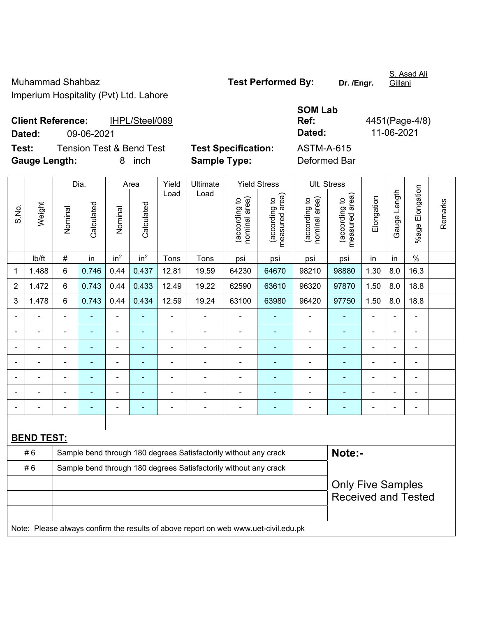S. Asad Ali Gillani

**Client Reference:** IHPL/Steel/089 **Dated:** 09-06-2021 **Test:** Tension Test & Bend Test **Test Specification:** 

| <b>SOM Lab</b> |                |
|----------------|----------------|
| Ref:           | 4451(Page-4/8) |
| <b>Dated:</b>  | 11-06-2021     |
| ASTM-A-615     |                |
| Dafarmad Dar   |                |

**Gauge Length:** 8 inch **Sample Type:** Deformed Bar

|                |                   |                | Dia.       |                 | Area                     | Yield          | Ultimate                                                                            |                                | <b>Yield Stress</b>             |                                | Ult. Stress                                 |                |                          |                      |         |
|----------------|-------------------|----------------|------------|-----------------|--------------------------|----------------|-------------------------------------------------------------------------------------|--------------------------------|---------------------------------|--------------------------------|---------------------------------------------|----------------|--------------------------|----------------------|---------|
| S.No.          | Weight            | Nominal        | Calculated | Nominal         | Calculated               | Load           | Load                                                                                | nominal area)<br>(according to | (according to<br>measured area) | (according to<br>nominal area) | (according to<br>neasured area)<br>measured | Elongation     | Gauge Length             | Elongation<br>%age l | Remarks |
|                | Ib/ft             | $\#$           | in         | in <sup>2</sup> | in <sup>2</sup>          | Tons           | Tons                                                                                | psi                            | psi                             | psi                            | psi                                         | in             | in                       | $\%$                 |         |
| 1              | 1.488             | $\,6\,$        | 0.746      | 0.44            | 0.437                    | 12.81          | 19.59                                                                               | 64230                          | 64670                           | 98210                          | 98880                                       | 1.30           | 8.0                      | 16.3                 |         |
| $\overline{2}$ | 1.472             | 6              | 0.743      | 0.44            | 0.433                    | 12.49          | 19.22                                                                               | 62590                          | 63610                           | 96320                          | 97870                                       | 1.50           | 8.0                      | 18.8                 |         |
| 3              | 1.478             | 6              | 0.743      | 0.44            | 0.434                    | 12.59          | 19.24                                                                               | 63100                          | 63980                           | 96420                          | 97750                                       | 1.50           | 8.0                      | 18.8                 |         |
|                |                   |                |            | ÷               |                          |                |                                                                                     |                                |                                 | $\blacksquare$                 |                                             |                |                          | ä,                   |         |
|                |                   |                |            | $\blacksquare$  |                          | $\blacksquare$ | Ē,                                                                                  | $\blacksquare$                 |                                 | ۰                              |                                             |                |                          | $\blacksquare$       |         |
|                |                   | $\blacksquare$ | ÷,         | $\blacksquare$  |                          | ä,             | $\overline{\phantom{0}}$                                                            | $\blacksquare$                 | ٠                               | $\blacksquare$                 | $\blacksquare$                              | ä,             | $\blacksquare$           | ä,                   |         |
|                |                   | ÷              | ä,         | $\blacksquare$  | $\overline{\phantom{a}}$ | $\blacksquare$ | $\overline{\phantom{a}}$                                                            | $\blacksquare$                 | ÷                               | ÷                              | $\blacksquare$                              | $\blacksquare$ | $\overline{\phantom{0}}$ | ÷                    |         |
|                |                   | $\blacksquare$ |            | $\blacksquare$  |                          | ä,             | Ē,                                                                                  |                                |                                 | $\blacksquare$                 | $\blacksquare$                              |                |                          | $\blacksquare$       |         |
|                |                   |                |            | $\blacksquare$  |                          |                | $\overline{\phantom{0}}$                                                            | $\blacksquare$                 |                                 | $\blacksquare$                 | $\blacksquare$                              |                |                          | ۰                    |         |
|                |                   |                |            | ۰               |                          | $\blacksquare$ | $\overline{\phantom{0}}$                                                            | $\blacksquare$                 | ٠                               | ٠                              | ۳                                           | $\blacksquare$ | $\blacksquare$           | $\blacksquare$       |         |
|                |                   |                |            |                 |                          |                |                                                                                     |                                |                                 |                                |                                             |                |                          |                      |         |
|                | <b>BEND TEST:</b> |                |            |                 |                          |                |                                                                                     |                                |                                 |                                |                                             |                |                          |                      |         |
|                | #6                |                |            |                 |                          |                | Sample bend through 180 degrees Satisfactorily without any crack                    |                                |                                 |                                | Note:-                                      |                |                          |                      |         |
|                | #6                |                |            |                 |                          |                | Sample bend through 180 degrees Satisfactorily without any crack                    |                                |                                 |                                |                                             |                |                          |                      |         |
|                |                   |                |            |                 |                          |                |                                                                                     |                                |                                 |                                | <b>Only Five Samples</b>                    |                |                          |                      |         |
|                |                   |                |            |                 |                          |                |                                                                                     |                                |                                 |                                | <b>Received and Tested</b>                  |                |                          |                      |         |
|                |                   |                |            |                 |                          |                |                                                                                     |                                |                                 |                                |                                             |                |                          |                      |         |
|                |                   |                |            |                 |                          |                | Note: Please always confirm the results of above report on web www.uet-civil.edu.pk |                                |                                 |                                |                                             |                |                          |                      |         |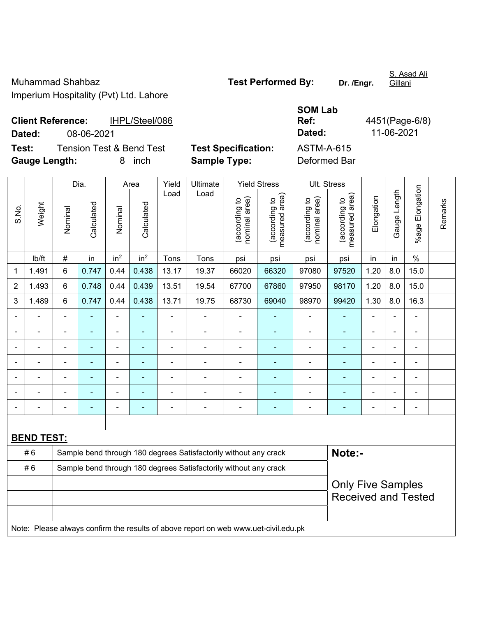Gillani

**Client Reference:** IHPL/Steel/086

|        | <b>Client Reference:</b><br>IHPL/Steel/086 |                            | UVIII LUM<br>Ref: | 4451(Page-6/8) |
|--------|--------------------------------------------|----------------------------|-------------------|----------------|
| Dated: | 08-06-2021                                 |                            | Dated:            | 11-06-2021     |
| Test:  | Tension Test & Bend Test                   | <b>Test Specification:</b> | ASTM-A-615        |                |

**SOM Lab** 

**Test:** Tension Test & Bend Test **Test Specification: Gauge Length:** 8 inch **Sample Type:** Deformed Bar

|                |                   |                                                                            | Dia.                     | Yield<br>Ultimate<br><b>Yield Stress</b><br>Area |                 |       | Ult. Stress                                                                         |                                |                                 |                                |                                 |                |              |                      |         |
|----------------|-------------------|----------------------------------------------------------------------------|--------------------------|--------------------------------------------------|-----------------|-------|-------------------------------------------------------------------------------------|--------------------------------|---------------------------------|--------------------------------|---------------------------------|----------------|--------------|----------------------|---------|
| S.No.          | Weight            | Nominal                                                                    | Calculated               | Nominal                                          | Calculated      | Load  | Load                                                                                | nominal area)<br>(according to | measured area)<br>(according to | nominal area)<br>(according to | (according to<br>measured area) | Elongation     | Gauge Length | Elongation<br>%age l | Remarks |
|                | lb/ft             | $\#$                                                                       | in                       | in <sup>2</sup>                                  | in <sup>2</sup> | Tons  | Tons                                                                                | psi                            | psi                             | psi                            | psi                             | in             | in           | $\frac{0}{0}$        |         |
| 1              | 1.491             | 6                                                                          | 0.747                    | 0.44                                             | 0.438           | 13.17 | 19.37                                                                               | 66020                          | 66320                           | 97080                          | 97520                           | 1.20           | 8.0          | 15.0                 |         |
| $\overline{2}$ | 1.493             | 6                                                                          | 0.748                    | 0.44                                             | 0.439           | 13.51 | 19.54                                                                               | 67700                          | 67860                           | 97950                          | 98170                           | 1.20           | 8.0          | 15.0                 |         |
| 3              | 1.489             | 6                                                                          | 0.747                    | 0.44                                             | 0.438           | 13.71 | 19.75                                                                               | 68730                          | 69040                           | 98970                          | 99420                           | 1.30           | 8.0          | 16.3                 |         |
|                |                   |                                                                            | $\blacksquare$           | ä,                                               |                 |       | Ě.                                                                                  |                                |                                 | ä,                             |                                 | $\blacksquare$ |              |                      |         |
|                |                   |                                                                            |                          | $\blacksquare$                                   |                 |       |                                                                                     |                                |                                 |                                |                                 |                |              | $\blacksquare$       |         |
|                |                   |                                                                            | $\overline{\phantom{0}}$ | ÷                                                |                 |       |                                                                                     | $\blacksquare$                 |                                 | ä,                             | ٠                               | ä,             |              | $\blacksquare$       |         |
|                |                   |                                                                            | $\blacksquare$           | ÷,                                               |                 | Ē,    | ÷                                                                                   | $\blacksquare$                 | ۰                               | ä,                             | Ē,                              | $\blacksquare$ |              | $\blacksquare$       |         |
|                | -                 | ä,                                                                         | $\blacksquare$           | ÷                                                |                 | ÷     | ÷                                                                                   | $\blacksquare$                 | $\sim$                          | $\blacksquare$                 | $\blacksquare$                  | $\blacksquare$ |              | $\blacksquare$       |         |
|                | $\blacksquare$    |                                                                            | $\blacksquare$           | ÷,                                               |                 | ä,    | ÷                                                                                   | $\blacksquare$                 | $\blacksquare$                  | ä,                             | $\blacksquare$                  | $\blacksquare$ |              | ä,                   |         |
|                |                   |                                                                            | $\blacksquare$           | ÷                                                |                 | ÷     | ÷                                                                                   | $\blacksquare$                 |                                 | ÷                              | Ē,                              | $\blacksquare$ |              | $\blacksquare$       |         |
|                |                   |                                                                            |                          |                                                  |                 |       |                                                                                     |                                |                                 |                                |                                 |                |              |                      |         |
|                | <b>BEND TEST:</b> |                                                                            |                          |                                                  |                 |       |                                                                                     |                                |                                 |                                |                                 |                |              |                      |         |
|                | #6                | Note:-<br>Sample bend through 180 degrees Satisfactorily without any crack |                          |                                                  |                 |       |                                                                                     |                                |                                 |                                |                                 |                |              |                      |         |
|                | #6                |                                                                            |                          |                                                  |                 |       | Sample bend through 180 degrees Satisfactorily without any crack                    |                                |                                 |                                |                                 |                |              |                      |         |
|                |                   |                                                                            |                          |                                                  |                 |       |                                                                                     |                                |                                 |                                | <b>Only Five Samples</b>        |                |              |                      |         |
|                |                   |                                                                            |                          |                                                  |                 |       |                                                                                     |                                |                                 |                                | <b>Received and Tested</b>      |                |              |                      |         |
|                |                   |                                                                            |                          |                                                  |                 |       |                                                                                     |                                |                                 |                                |                                 |                |              |                      |         |
|                |                   |                                                                            |                          |                                                  |                 |       | Note: Please always confirm the results of above report on web www.uet-civil.edu.pk |                                |                                 |                                |                                 |                |              |                      |         |

S. Asad Ali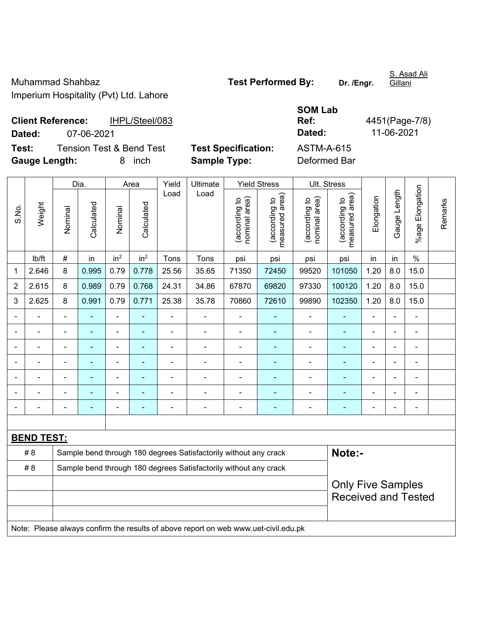S. Asad Ali Gillani

**Client Reference:** IHPL/Steel/083 **Dated:** 07-06-2021 **Dated:** 11-06-2021 **Test:** Tension Test & Bend Test **Test Specification:** ASTM-A-615

**Gauge Length:** 8 inch **Sample Type:** Deformed Bar

**SOM Lab Ref:** 4451(Page-7/8)

|                |                   |                                                                  | Dia.                     |                 | Yield<br><b>Yield Stress</b><br>Area<br>Ultimate |                |                                                                                     | Ult. Stress                    |                                 |                                |                                 |                |                |                          |         |
|----------------|-------------------|------------------------------------------------------------------|--------------------------|-----------------|--------------------------------------------------|----------------|-------------------------------------------------------------------------------------|--------------------------------|---------------------------------|--------------------------------|---------------------------------|----------------|----------------|--------------------------|---------|
| S.No.          | Weight            | Nominal                                                          | Calculated               | Nominal         | Calculated                                       | Load           | Load                                                                                | nominal area)<br>(according to | measured area)<br>(according to | nominal area)<br>(according to | (according to<br>measured area) | Elongation     | Gauge Length   | %age Elongation          | Remarks |
|                | lb/ft             | #                                                                | in                       | in <sup>2</sup> | in <sup>2</sup>                                  | Tons           | Tons                                                                                | psi                            | psi                             | psi                            | psi                             | in             | in             | $\%$                     |         |
| 1              | 2.646             | 8                                                                | 0.995                    | 0.79            | 0.778                                            | 25.56          | 35.65                                                                               | 71350                          | 72450                           | 99520                          | 101050                          | 1.20           | 8.0            | 15.0                     |         |
| $\overline{2}$ | 2.615             | 8                                                                | 0.989                    | 0.79            | 0.768                                            | 24.31          | 34.86                                                                               | 67870                          | 69820                           | 97330                          | 100120                          | 1.20           | 8.0            | 15.0                     |         |
| 3              | 2.625             | 8                                                                | 0.991                    | 0.79            | 0.771                                            | 25.38          | 35.78                                                                               | 70860                          | 72610                           | 99890                          | 102350                          | 1.20           | 8.0            | 15.0                     |         |
|                | $\blacksquare$    | $\blacksquare$                                                   | $\overline{\phantom{0}}$ | ä,              | $\blacksquare$                                   |                | ÷                                                                                   | $\blacksquare$                 |                                 | $\overline{a}$                 | $\blacksquare$                  | $\blacksquare$ | $\blacksquare$ | $\blacksquare$           |         |
| $\blacksquare$ | $\blacksquare$    | $\blacksquare$                                                   | $\blacksquare$           | $\blacksquare$  | $\blacksquare$                                   | $\blacksquare$ | $\blacksquare$                                                                      | $\blacksquare$                 | $\blacksquare$                  | $\blacksquare$                 | $\blacksquare$                  | $\blacksquare$ | $\blacksquare$ | $\blacksquare$           |         |
|                | $\blacksquare$    | $\blacksquare$                                                   | $\blacksquare$           | $\blacksquare$  | ۰                                                | $\blacksquare$ | ÷                                                                                   | $\blacksquare$                 |                                 | $\blacksquare$                 | $\blacksquare$                  | ä,             | $\blacksquare$ | $\blacksquare$           |         |
| $\blacksquare$ | ÷.                | $\blacksquare$                                                   | ä,                       | $\blacksquare$  | ۰                                                | $\blacksquare$ | ÷                                                                                   | ä,                             | $\blacksquare$                  | ÷                              | $\blacksquare$                  | $\blacksquare$ | $\blacksquare$ | $\blacksquare$           |         |
|                |                   |                                                                  |                          |                 |                                                  |                | Ē.                                                                                  |                                |                                 |                                |                                 | $\blacksquare$ |                |                          |         |
|                |                   |                                                                  |                          |                 |                                                  |                |                                                                                     |                                |                                 |                                |                                 |                |                |                          |         |
| Ē,             |                   |                                                                  |                          | ÷               | ۰                                                |                | ÷                                                                                   | $\blacksquare$                 | ÷                               | $\overline{a}$                 | ÷                               | ÷              | $\blacksquare$ | $\overline{\phantom{a}}$ |         |
|                |                   |                                                                  |                          |                 |                                                  |                |                                                                                     |                                |                                 |                                |                                 |                |                |                          |         |
|                | <b>BEND TEST:</b> |                                                                  |                          |                 |                                                  |                |                                                                                     |                                |                                 |                                |                                 |                |                |                          |         |
|                | # 8               | Sample bend through 180 degrees Satisfactorily without any crack |                          |                 |                                                  |                |                                                                                     |                                |                                 | Note:-                         |                                 |                |                |                          |         |
|                | # 8               | Sample bend through 180 degrees Satisfactorily without any crack |                          |                 |                                                  |                |                                                                                     |                                |                                 |                                |                                 |                |                |                          |         |
|                |                   |                                                                  |                          |                 |                                                  |                |                                                                                     |                                |                                 |                                | <b>Only Five Samples</b>        |                |                |                          |         |
|                |                   |                                                                  |                          |                 |                                                  |                |                                                                                     |                                |                                 |                                | <b>Received and Tested</b>      |                |                |                          |         |
|                |                   |                                                                  |                          |                 |                                                  |                |                                                                                     |                                |                                 |                                |                                 |                |                |                          |         |
|                |                   |                                                                  |                          |                 |                                                  |                | Note: Please always confirm the results of above report on web www.uet-civil.edu.pk |                                |                                 |                                |                                 |                |                |                          |         |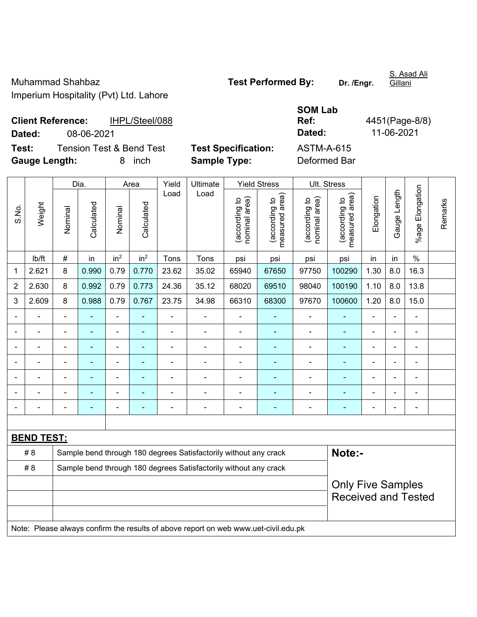Gillani

**Client Reference:** IHPL/Steel/088

**SOM Lab Ref:** 4451(Page-8/8)

**Dated:** 08-06-2021 **Dated:** 11-06-2021 **Test:** Tension Test & Bend Test **Test Specification:** ASTM-A-615

**Gauge Length:** 8 inch **Sample Type:** Deformed Bar

|                |                   | Dia.<br>Yield<br>Ultimate<br><b>Yield Stress</b><br>Area |                |                 | Ult. Stress     |                |                                                                                     |                                |                                 |                                |                                 |                |                |                 |         |
|----------------|-------------------|----------------------------------------------------------|----------------|-----------------|-----------------|----------------|-------------------------------------------------------------------------------------|--------------------------------|---------------------------------|--------------------------------|---------------------------------|----------------|----------------|-----------------|---------|
| S.No.          | Weight            | Nominal                                                  | Calculated     | Nominal         | Calculated      | Load           | Load                                                                                | nominal area)<br>(according to | measured area)<br>(according to | nominal area)<br>(according to | measured area)<br>(according to | Elongation     | Gauge Length   | %age Elongation | Remarks |
|                | lb/ft             | $\#$                                                     | in             | in <sup>2</sup> | in <sup>2</sup> | Tons           | Tons                                                                                | psi                            | psi                             | psi                            | psi                             | in             | in             | $\%$            |         |
| 1              | 2.621             | 8                                                        | 0.990          | 0.79            | 0.770           | 23.62          | 35.02                                                                               | 65940                          | 67650                           | 97750                          | 100290                          | 1.30           | 8.0            | 16.3            |         |
| $\overline{2}$ | 2.630             | 8                                                        | 0.992          | 0.79            | 0.773           | 24.36          | 35.12                                                                               | 68020                          | 69510                           | 98040                          | 100190                          | 1.10           | 8.0            | 13.8            |         |
| 3              | 2.609             | 8                                                        | 0.988          | 0.79            | 0.767           | 23.75          | 34.98                                                                               | 66310                          | 68300                           | 97670                          | 100600                          | 1.20           | 8.0            | 15.0            |         |
|                |                   |                                                          |                | ä,              |                 |                |                                                                                     | ä,                             |                                 | $\blacksquare$                 | $\blacksquare$                  |                |                | $\overline{a}$  |         |
|                |                   |                                                          |                | ä,              |                 |                | Ē,                                                                                  | $\blacksquare$                 |                                 |                                |                                 |                |                |                 |         |
|                |                   |                                                          |                | ÷               | ۰               | $\blacksquare$ | ٠                                                                                   | -                              | ۰                               | $\overline{\phantom{0}}$       | $\blacksquare$                  |                |                | $\blacksquare$  |         |
|                |                   | $\blacksquare$                                           | $\blacksquare$ | ÷,              | ٠               | $\blacksquare$ | $\blacksquare$                                                                      | $\blacksquare$                 | ۰                               | $\overline{\phantom{a}}$       | $\blacksquare$                  | $\blacksquare$ | $\blacksquare$ | ÷               |         |
|                |                   |                                                          | -              | ÷,              |                 | $\blacksquare$ | Ē,                                                                                  | ä,                             |                                 | $\blacksquare$                 | $\blacksquare$                  |                |                | ä,              |         |
|                |                   |                                                          |                | $\blacksquare$  |                 |                | Ē,                                                                                  |                                |                                 | $\blacksquare$                 | ÷                               | ÷              |                | $\blacksquare$  |         |
|                |                   |                                                          |                |                 |                 |                |                                                                                     |                                |                                 |                                |                                 |                |                | $\blacksquare$  |         |
|                |                   |                                                          |                |                 |                 |                |                                                                                     |                                |                                 |                                |                                 |                |                |                 |         |
|                | <b>BEND TEST:</b> |                                                          |                |                 |                 |                |                                                                                     |                                |                                 |                                |                                 |                |                |                 |         |
|                | #8                |                                                          |                |                 |                 |                | Sample bend through 180 degrees Satisfactorily without any crack                    |                                |                                 |                                | Note:-                          |                |                |                 |         |
|                | #8                |                                                          |                |                 |                 |                | Sample bend through 180 degrees Satisfactorily without any crack                    |                                |                                 |                                |                                 |                |                |                 |         |
|                |                   |                                                          |                |                 |                 |                |                                                                                     |                                |                                 |                                | <b>Only Five Samples</b>        |                |                |                 |         |
|                |                   |                                                          |                |                 |                 |                |                                                                                     |                                |                                 |                                | <b>Received and Tested</b>      |                |                |                 |         |
|                |                   |                                                          |                |                 |                 |                |                                                                                     |                                |                                 |                                |                                 |                |                |                 |         |
|                |                   |                                                          |                |                 |                 |                | Note: Please always confirm the results of above report on web www.uet-civil.edu.pk |                                |                                 |                                |                                 |                |                |                 |         |

S. Asad Ali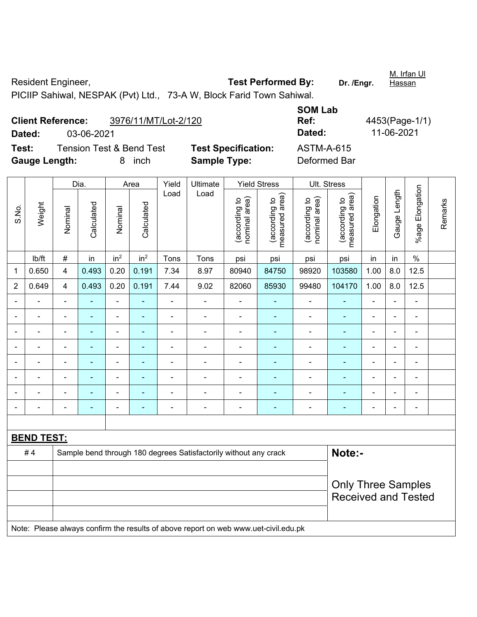Resident Engineer, **Test Performed By:** Dr. /Engr. M. Irfan Ul **Hassan** PICIIP Sahiwal, NESPAK (Pvt) Ltd., 73-A W, Block Farid Town Sahiwal.

**Client Reference:** 3976/11/MT/Lot-2/120 **SOM Lab Ref:** 4453(Page-1/1) **Dated:** 03-06-2021 **Dated:** 11-06-2021 **Test:** Tension Test & Bend Test **Test Specification:** ASTM-A-615 **Gauge Length:** 8 inch **Sample Type:** Deformed Bar

|                          |                   | Yield<br><b>Yield Stress</b><br>Dia.<br>Ultimate<br>Area |                          |                 |                 | Ult. Stress    |                                                                                     |                                |                                 |                                |                                 |                              |                |                      |         |
|--------------------------|-------------------|----------------------------------------------------------|--------------------------|-----------------|-----------------|----------------|-------------------------------------------------------------------------------------|--------------------------------|---------------------------------|--------------------------------|---------------------------------|------------------------------|----------------|----------------------|---------|
| S.No.                    | Weight            | Nominal                                                  | Calculated               | Nominal         | Calculated      | Load           | Load                                                                                | nominal area)<br>(according to | (according to<br>measured area) | (according to<br>nominal area) | (according to<br>measured area) | Elongation                   | Gauge Length   | Elongation<br>%age l | Remarks |
|                          | lb/ft             | $\#$                                                     | in                       | in <sup>2</sup> | in <sup>2</sup> | Tons           | Tons                                                                                | psi                            | psi                             | psi                            | psi                             | in                           | in             | $\%$                 |         |
| $\mathbf{1}$             | 0.650             | 4                                                        | 0.493                    | 0.20            | 0.191           | 7.34           | 8.97                                                                                | 80940                          | 84750                           | 98920                          | 103580                          | 1.00                         | 8.0            | 12.5                 |         |
| $\overline{2}$           | 0.649             | 4                                                        | 0.493                    | 0.20            | 0.191           | 7.44           | 9.02                                                                                | 82060                          | 85930                           | 99480                          | 104170                          | 1.00                         | 8.0            | 12.5                 |         |
|                          | ÷                 |                                                          |                          | $\blacksquare$  |                 | $\blacksquare$ | $\overline{a}$                                                                      | ä,                             |                                 | $\blacksquare$                 |                                 | ÷                            |                | ÷                    |         |
| $\blacksquare$           | $\blacksquare$    | $\blacksquare$                                           | $\blacksquare$           | $\blacksquare$  | ٠               | $\blacksquare$ | $\blacksquare$                                                                      | $\overline{\phantom{a}}$       | $\blacksquare$                  | $\blacksquare$                 | $\blacksquare$                  | $\blacksquare$               | $\blacksquare$ | $\blacksquare$       |         |
| $\blacksquare$           | $\blacksquare$    | $\blacksquare$                                           | $\overline{\phantom{0}}$ | ÷               |                 | $\blacksquare$ | ÷                                                                                   | $\blacksquare$                 | $\blacksquare$                  | $\blacksquare$                 | $\blacksquare$                  | $\blacksquare$               | $\blacksquare$ | $\blacksquare$       |         |
| Ē,                       | $\blacksquare$    | $\blacksquare$                                           | ÷                        | ÷,              |                 | $\blacksquare$ | ÷                                                                                   | $\blacksquare$                 | $\blacksquare$                  | $\blacksquare$                 | ä,                              | $\qquad \qquad \blacksquare$ | $\blacksquare$ | $\blacksquare$       |         |
| $\overline{\phantom{a}}$ | $\blacksquare$    | $\blacksquare$                                           | $\blacksquare$           | ÷,              |                 | $\blacksquare$ | ä,                                                                                  | $\blacksquare$                 | ٠                               | $\blacksquare$                 | $\blacksquare$                  | $\blacksquare$               |                | $\blacksquare$       |         |
|                          | ÷                 |                                                          | $\blacksquare$           | $\blacksquare$  |                 | $\blacksquare$ | ä,                                                                                  | ÷,                             | $\blacksquare$                  | $\blacksquare$                 | ÷,                              | ÷                            |                | ä,                   |         |
|                          |                   |                                                          |                          | $\blacksquare$  |                 |                | $\blacksquare$                                                                      | $\blacksquare$                 | $\overline{\phantom{0}}$        | $\blacksquare$                 | $\blacksquare$                  |                              |                | $\blacksquare$       |         |
|                          |                   |                                                          |                          | -               |                 |                | ÷                                                                                   | $\blacksquare$                 | ÷                               | $\blacksquare$                 | ÷                               |                              |                | ÷                    |         |
|                          |                   |                                                          |                          |                 |                 |                |                                                                                     |                                |                                 |                                |                                 |                              |                |                      |         |
|                          | <b>BEND TEST:</b> |                                                          |                          |                 |                 |                |                                                                                     |                                |                                 |                                |                                 |                              |                |                      |         |
|                          | #4                |                                                          |                          |                 |                 |                | Sample bend through 180 degrees Satisfactorily without any crack                    |                                |                                 |                                | Note:-                          |                              |                |                      |         |
|                          |                   |                                                          |                          |                 |                 |                |                                                                                     |                                |                                 |                                |                                 |                              |                |                      |         |
|                          |                   |                                                          |                          |                 |                 |                |                                                                                     |                                |                                 |                                | <b>Only Three Samples</b>       |                              |                |                      |         |
|                          |                   |                                                          |                          |                 |                 |                |                                                                                     |                                |                                 |                                | <b>Received and Tested</b>      |                              |                |                      |         |
|                          |                   |                                                          |                          |                 |                 |                | Note: Please always confirm the results of above report on web www.uet-civil.edu.pk |                                |                                 |                                |                                 |                              |                |                      |         |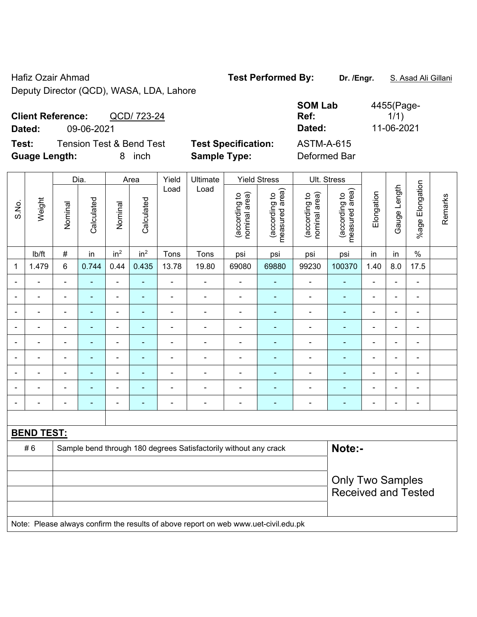Hafiz Ozair Ahmad **Test Performed By:** Dr. /Engr. **S. Asad Ali Gillani** Ali Gillani Deputy Director (QCD), WASA, LDA, Lahore

| <b>Client Reference:</b><br>QCD/ 723-24      |                            | <b>SOM Lab</b><br>Ref: | 4455(Page-<br>1/1) |
|----------------------------------------------|----------------------------|------------------------|--------------------|
| Dated:<br>09-06-2021                         |                            | Dated:                 | 11-06-2021         |
| Test:<br><b>Tension Test &amp; Bend Test</b> | <b>Test Specification:</b> | <b>ASTM-A-615</b>      |                    |
| <b>Guage Length:</b><br>inch                 | <b>Sample Type:</b>        | Deformed Bar           |                    |

|                |                   |                          | Dia.           |                 | Area            | Yield          | Ultimate                                                                            |                                | <b>Yield Stress</b>             |                                | Ult. Stress                     |                |                |                       |         |
|----------------|-------------------|--------------------------|----------------|-----------------|-----------------|----------------|-------------------------------------------------------------------------------------|--------------------------------|---------------------------------|--------------------------------|---------------------------------|----------------|----------------|-----------------------|---------|
| S.No.          | Weight            | Nominal                  | Calculated     | Nominal         | Calculated      | Load           | Load                                                                                | nominal area)<br>(according to | measured area)<br>(according to | nominal area)<br>(according to | measured area)<br>(according to | Elongation     | Gauge Length   | Elongation<br>$%$ age | Remarks |
|                | lb/ft             | #                        | in             | in <sup>2</sup> | in <sup>2</sup> | Tons           | Tons                                                                                | psi                            | psi                             | psi                            | psi                             | in             | in             | $\%$                  |         |
| 1              | 1.479             | 6                        | 0.744          | 0.44            | 0.435           | 13.78          | 19.80                                                                               | 69080                          | 69880                           | 99230                          | 100370                          | 1.40           | 8.0            | 17.5                  |         |
| $\blacksquare$ |                   | $\overline{\phantom{a}}$ | ÷,             | $\blacksquare$  | $\blacksquare$  | L,             | $\blacksquare$                                                                      | $\blacksquare$                 | $\blacksquare$                  | $\blacksquare$                 | $\frac{1}{2}$                   | $\blacksquare$ | $\blacksquare$ | $\blacksquare$        |         |
|                | $\blacksquare$    | $\overline{a}$           | $\blacksquare$ | $\blacksquare$  | ÷               | $\overline{a}$ | -                                                                                   | $\blacksquare$                 | $\overline{\phantom{a}}$        | $\overline{\phantom{0}}$       | ÷,                              | $\blacksquare$ |                | $\blacksquare$        |         |
|                |                   | ä,                       | ÷,             | $\blacksquare$  | $\blacksquare$  | ÷              | ä,                                                                                  | $\blacksquare$                 | ÷,                              | $\qquad \qquad \blacksquare$   | ÷,                              | $\blacksquare$ |                | ä,                    |         |
|                |                   |                          |                |                 |                 |                |                                                                                     |                                |                                 |                                | $\blacksquare$                  |                |                | -                     |         |
|                |                   | $\blacksquare$           |                | $\blacksquare$  |                 | L,             | ÷                                                                                   | $\blacksquare$                 |                                 | ٠                              | $\blacksquare$                  | $\blacksquare$ |                | $\blacksquare$        |         |
| $\blacksquare$ |                   | ä,                       | $\blacksquare$ | $\blacksquare$  | $\blacksquare$  | L,             | ä,                                                                                  | $\blacksquare$                 | ÷                               | $\blacksquare$                 | $\blacksquare$                  | $\blacksquare$ | $\blacksquare$ | $\blacksquare$        |         |
|                |                   | $\blacksquare$           | $\blacksquare$ | $\blacksquare$  |                 | ä,             | ÷                                                                                   | $\blacksquare$                 |                                 | $\overline{\phantom{a}}$       | $\blacksquare$                  | $\blacksquare$ |                | $\blacksquare$        |         |
|                | $\equiv$          | $\blacksquare$           | $\blacksquare$ | $\blacksquare$  | $\blacksquare$  | L,             | ÷,                                                                                  | $\blacksquare$                 | $\blacksquare$                  | $\qquad \qquad \blacksquare$   | ÷,                              | $\blacksquare$ |                | ÷,                    |         |
|                |                   | $\overline{\phantom{0}}$ | $\blacksquare$ | $\blacksquare$  | $\blacksquare$  | L,             | ÷                                                                                   | $\blacksquare$                 | $\overline{\phantom{a}}$        | ÷                              | $\blacksquare$                  | $\blacksquare$ |                | $\blacksquare$        |         |
|                |                   |                          |                |                 |                 |                |                                                                                     |                                |                                 |                                |                                 |                |                |                       |         |
|                | <b>BEND TEST:</b> |                          |                |                 |                 |                |                                                                                     |                                |                                 |                                |                                 |                |                |                       |         |
|                | #6                |                          |                |                 |                 |                | Sample bend through 180 degrees Satisfactorily without any crack                    |                                |                                 |                                | Note:-                          |                |                |                       |         |
|                |                   |                          |                |                 |                 |                |                                                                                     |                                |                                 |                                |                                 |                |                |                       |         |
|                |                   |                          |                |                 |                 |                |                                                                                     |                                |                                 |                                | <b>Only Two Samples</b>         |                |                |                       |         |
|                |                   |                          |                |                 |                 |                |                                                                                     |                                |                                 |                                | <b>Received and Tested</b>      |                |                |                       |         |
|                |                   |                          |                |                 |                 |                |                                                                                     |                                |                                 |                                |                                 |                |                |                       |         |
|                |                   |                          |                |                 |                 |                | Note: Please always confirm the results of above report on web www.uet-civil.edu.pk |                                |                                 |                                |                                 |                |                |                       |         |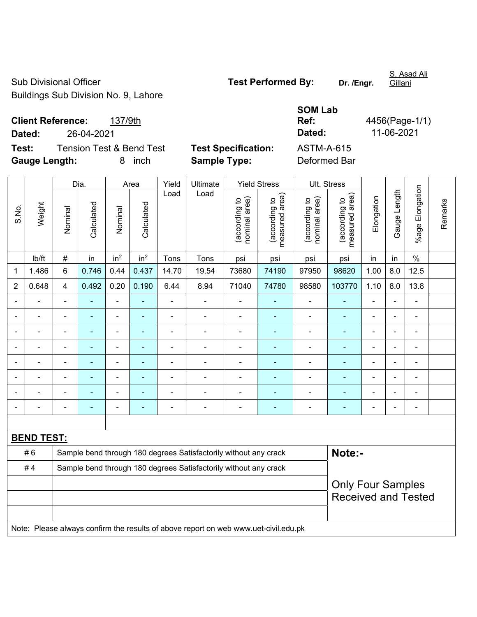Sub Divisional Officer **Test Performed By:** Dr. /Engr. Buildings Sub Division No. 9, Lahore

S. Asad Ali

**Client Reference:** 137/9th **Dated:** 26-04-2021 **Test:** Tension Test & Bend Test **Test Specification:** 

**Gauge Length:** 8 inch **Sample Type:** Deformed Bar

| <b>SOM Lab</b><br>Ref:<br>Dated:  | 4456(Page-1/1)<br>11-06-2021 |
|-----------------------------------|------------------------------|
| <b>ASTM-A-615</b><br>Doformod Dor |                              |

|                |                   | Yield<br>Dia.<br>Ultimate<br><b>Yield Stress</b><br>Area |            |                 | Ult. Stress     |                          |                                                                                     |                                |                                 |                                |                                                        |                |                |                 |         |
|----------------|-------------------|----------------------------------------------------------|------------|-----------------|-----------------|--------------------------|-------------------------------------------------------------------------------------|--------------------------------|---------------------------------|--------------------------------|--------------------------------------------------------|----------------|----------------|-----------------|---------|
| S.No.          | Weight            | Nominal                                                  | Calculated | Nominal         | Calculated      | Load                     | Load                                                                                | nominal area)<br>(according to | (according to<br>measured area) | (according to<br>nominal area) | (according to<br>measured area)                        | Elongation     | Gauge Length   | %age Elongation | Remarks |
|                | Ib/ft             | #                                                        | in         | in <sup>2</sup> | in <sup>2</sup> | Tons                     | Tons                                                                                | psi                            | psi                             | psi                            | psi                                                    | in             | in             | $\%$            |         |
| 1              | 1.486             | 6                                                        | 0.746      | 0.44            | 0.437           | 14.70                    | 19.54                                                                               | 73680                          | 74190                           | 97950                          | 98620                                                  | 1.00           | 8.0            | 12.5            |         |
| $\overline{2}$ | 0.648             | 4                                                        | 0.492      | 0.20            | 0.190           | 6.44                     | 8.94                                                                                | 71040                          | 74780                           | 98580                          | 103770                                                 | 1.10           | 8.0            | 13.8            |         |
|                |                   |                                                          |            |                 |                 |                          |                                                                                     | $\blacksquare$                 |                                 |                                |                                                        |                |                |                 |         |
| $\blacksquare$ | $\blacksquare$    | $\blacksquare$                                           | ÷,         | $\blacksquare$  | ۰               | Ē,                       | $\overline{\phantom{0}}$                                                            | $\blacksquare$                 | $\blacksquare$                  | $\overline{\phantom{a}}$       | $\blacksquare$                                         | ÷              | $\blacksquare$ | $\blacksquare$  |         |
|                | $\blacksquare$    | $\blacksquare$                                           | ۰          | $\blacksquare$  | ٠               | $\blacksquare$           | $\blacksquare$                                                                      | $\overline{a}$                 | ٠                               | $\blacksquare$                 | $\blacksquare$                                         | $\blacksquare$ |                | $\blacksquare$  |         |
|                | $\blacksquare$    | $\blacksquare$                                           | ÷,         | $\blacksquare$  | $\blacksquare$  | $\overline{\phantom{a}}$ | Ě.                                                                                  | $\blacksquare$                 | $\blacksquare$                  | $\blacksquare$                 | $\blacksquare$                                         | ÷              | $\blacksquare$ | ÷.              |         |
|                |                   |                                                          | ÷,         | $\blacksquare$  |                 |                          | ä,                                                                                  |                                |                                 | ä,                             | ÷                                                      |                |                | $\blacksquare$  |         |
|                |                   |                                                          |            |                 |                 |                          |                                                                                     |                                |                                 |                                |                                                        |                |                | $\blacksquare$  |         |
|                |                   |                                                          |            | $\blacksquare$  |                 |                          |                                                                                     | ٠                              |                                 |                                |                                                        |                |                |                 |         |
| Ē,             |                   | ä,                                                       | ۰          | $\blacksquare$  |                 | ٠                        | Ē,                                                                                  | $\blacksquare$                 | $\blacksquare$                  | $\overline{\phantom{a}}$       | $\blacksquare$                                         | ÷              |                | $\blacksquare$  |         |
|                |                   |                                                          |            |                 |                 |                          |                                                                                     |                                |                                 |                                |                                                        |                |                |                 |         |
|                | <b>BEND TEST:</b> |                                                          |            |                 |                 |                          |                                                                                     |                                |                                 |                                |                                                        |                |                |                 |         |
|                | #6                |                                                          |            |                 |                 |                          | Sample bend through 180 degrees Satisfactorily without any crack                    |                                |                                 |                                | Note:-                                                 |                |                |                 |         |
|                | #4                |                                                          |            |                 |                 |                          | Sample bend through 180 degrees Satisfactorily without any crack                    |                                |                                 |                                |                                                        |                |                |                 |         |
|                |                   |                                                          |            |                 |                 |                          |                                                                                     |                                |                                 |                                | <b>Only Four Samples</b><br><b>Received and Tested</b> |                |                |                 |         |
|                |                   |                                                          |            |                 |                 |                          | Note: Please always confirm the results of above report on web www.uet-civil.edu.pk |                                |                                 |                                |                                                        |                |                |                 |         |

Gillani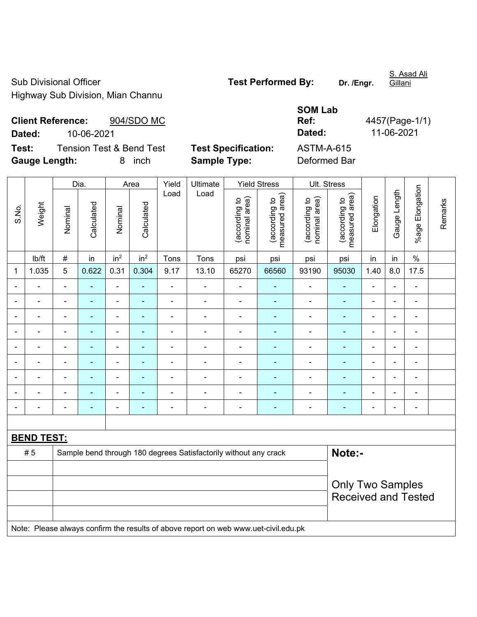Sub Divisional Officer **Test Performed By:** Dr. /Engr. Highway Sub Division, Mian Channu

S. Asad Ali **Gillani** 

**Client Reference:** 904/SDO MC **Dated:** 10-06-2021 **Dated:** 11-06-2021 **Test:** Tension Test & Bend Test **Test Specification:** ASTM-A-615

**Gauge Length:** 8 inch **Sample Type:** Deformed Bar

**SOM Lab Ref:** 4457(Page-1/1)

Dia. | Area | Yield | Ultimate | Yield Stress | Ult. Stress %age Elongation %age Elongation Gauge Length Load Load Gauge Length (according to<br>measured area) measured area) (according to<br>measured area) measured area) (according to<br>nominal area) (according to<br>nominal area) nominal area) nominal area) Elongation Elongation (according to (according to (according to (according to Remarks Remarks Weight **Calculated Calculated** Calculated Calculated S.No. Nominal Nominal Nominal Nominal | lb/ft | # | in | in<sup>2</sup> | in<sup>2</sup> | Tons | Tons | psi | psi | psi | psi | in | in | % 1 | 1.035 | 5 | 0.622 | 0.31 | 0.304 | 9.17 | 13.10 | 65270 | 66560 | 93190 | 95030 | 1.40 | 8.0 | 17.5 - - - - - - - - - - - - - - - - - - - - - - - - - - - - - - - - - - - - - - - - - - - - - - - - - - - - - - - - - - - - - - - - - - - - - - - - - - - - - - - - - - - - - - - - - - - - - - - - - - - - - - - - - - - - - - - - - - - - - - - - - - - - - - - - - - - - - - - **BEND TEST:**  # 5 Sample bend through 180 degrees Satisfactorily without any crack **Note:-**Only Two Samples Received and Tested Note: Please always confirm the results of above report on web www.uet-civil.edu.pk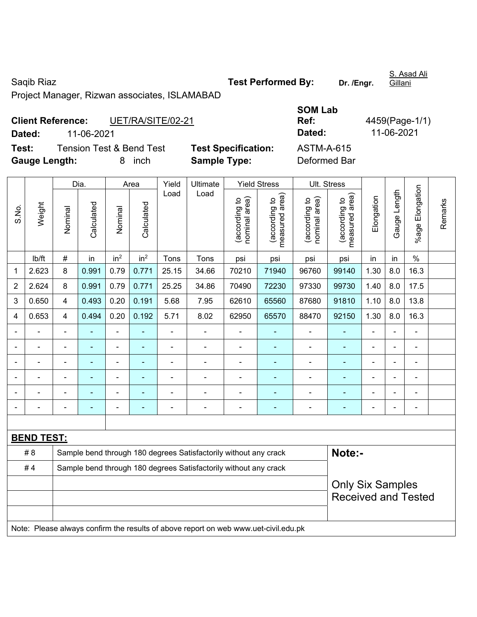Saqib Riaz **Test Performed By:** Dr. /Engr.

S. Asad Ali Gillani

Project Manager, Rizwan associates, ISLAMABAD

| <b>Client Reference:</b> |            | UET/RA/SITE/02-21                   |                            | Ref:              |
|--------------------------|------------|-------------------------------------|----------------------------|-------------------|
| Dated:                   | 11-06-2021 |                                     |                            | Dated:            |
| Test:                    |            | <b>Tension Test &amp; Bend Test</b> | <b>Test Specification:</b> | <b>ASTM-A-615</b> |
| <b>Gauge Length:</b>     |            | inch<br>8.                          | <b>Sample Type:</b>        | Deformed Bar      |

**SOM Lab Ref:** 4459(Page-1/1) **Dated:** 11-06-2021 **Dated:** 11-06-2021 **Test Specification:** ASTM-A-615

| S.No.          | Weight                                                                              | Dia.                                                             |                | Area            |                 | Yield          | Ultimate       | <b>Yield Stress</b>            |                                 | Ult. Stress                    |                                                       |                |                |                           |         |  |
|----------------|-------------------------------------------------------------------------------------|------------------------------------------------------------------|----------------|-----------------|-----------------|----------------|----------------|--------------------------------|---------------------------------|--------------------------------|-------------------------------------------------------|----------------|----------------|---------------------------|---------|--|
|                |                                                                                     | Nominal                                                          | Calculated     | Nominal         | Calculated      | Load           | Load           | nominal area)<br>(according to | (according to<br>measured area) | nominal area)<br>(according to | (according to<br>measured area)                       | Elongation     | Gauge Length   | Elongation<br>$%$ age $ $ | Remarks |  |
|                | lb/ft                                                                               | $\#$                                                             | in             | in <sup>2</sup> | in <sup>2</sup> | Tons           | Tons           | psi                            | psi                             | psi                            | psi                                                   | in             | in             | $\%$                      |         |  |
| 1              | 2.623                                                                               | 8                                                                | 0.991          | 0.79            | 0.771           | 25.15          | 34.66          | 70210                          | 71940                           | 96760                          | 99140                                                 | 1.30           | 8.0            | 16.3                      |         |  |
| 2              | 2.624                                                                               | 8                                                                | 0.991          | 0.79            | 0.771           | 25.25          | 34.86          | 70490                          | 72230                           | 97330                          | 99730                                                 | 1.40           | 8.0            | 17.5                      |         |  |
| 3              | 0.650                                                                               | 4                                                                | 0.493          | 0.20            | 0.191           | 5.68           | 7.95           | 62610                          | 65560                           | 87680                          | 91810                                                 | 1.10           | 8.0            | 13.8                      |         |  |
| 4              | 0.653                                                                               | 4                                                                | 0.494          | 0.20            | 0.192           | 5.71           | 8.02           | 62950                          | 65570                           | 88470                          | 92150                                                 | 1.30           | 8.0            | 16.3                      |         |  |
|                | $\blacksquare$                                                                      | $\blacksquare$                                                   | ä,             | $\blacksquare$  | ä,              | $\blacksquare$ | $\blacksquare$ | $\blacksquare$                 |                                 | $\blacksquare$                 | ÷,                                                    | $\blacksquare$ | $\blacksquare$ | $\blacksquare$            |         |  |
| $\blacksquare$ | $\overline{\phantom{0}}$                                                            | $\blacksquare$                                                   | $\blacksquare$ | ä,              | ä,              | ä,             | $\blacksquare$ | $\blacksquare$                 | ä,                              | $\blacksquare$                 | $\blacksquare$                                        | $\blacksquare$ |                | ä,                        |         |  |
|                |                                                                                     | $\blacksquare$                                                   | $\blacksquare$ | ÷,              |                 | $\blacksquare$ | $\blacksquare$ | $\blacksquare$                 |                                 | $\blacksquare$                 | $\blacksquare$                                        |                |                | $\blacksquare$            |         |  |
|                |                                                                                     |                                                                  |                |                 |                 |                |                |                                |                                 |                                |                                                       |                |                | ÷.                        |         |  |
|                |                                                                                     |                                                                  |                |                 |                 |                |                |                                |                                 |                                |                                                       |                |                |                           |         |  |
| $\blacksquare$ |                                                                                     |                                                                  |                | ä,              | ۰               | $\blacksquare$ | $\blacksquare$ | $\blacksquare$                 |                                 | $\overline{\phantom{0}}$       | $\blacksquare$                                        |                | Ē,             | $\blacksquare$            |         |  |
|                |                                                                                     |                                                                  |                |                 |                 |                |                |                                |                                 |                                |                                                       |                |                |                           |         |  |
|                | <b>BEND TEST:</b>                                                                   |                                                                  |                |                 |                 |                |                |                                |                                 |                                |                                                       |                |                |                           |         |  |
|                | # 8                                                                                 | Sample bend through 180 degrees Satisfactorily without any crack |                |                 |                 |                |                |                                |                                 |                                | Note:-                                                |                |                |                           |         |  |
| #4             |                                                                                     | Sample bend through 180 degrees Satisfactorily without any crack |                |                 |                 |                |                |                                |                                 |                                |                                                       |                |                |                           |         |  |
|                |                                                                                     |                                                                  |                |                 |                 |                |                |                                |                                 |                                | <b>Only Six Samples</b><br><b>Received and Tested</b> |                |                |                           |         |  |
|                | Note: Please always confirm the results of above report on web www.uet-civil.edu.pk |                                                                  |                |                 |                 |                |                |                                |                                 |                                |                                                       |                |                |                           |         |  |